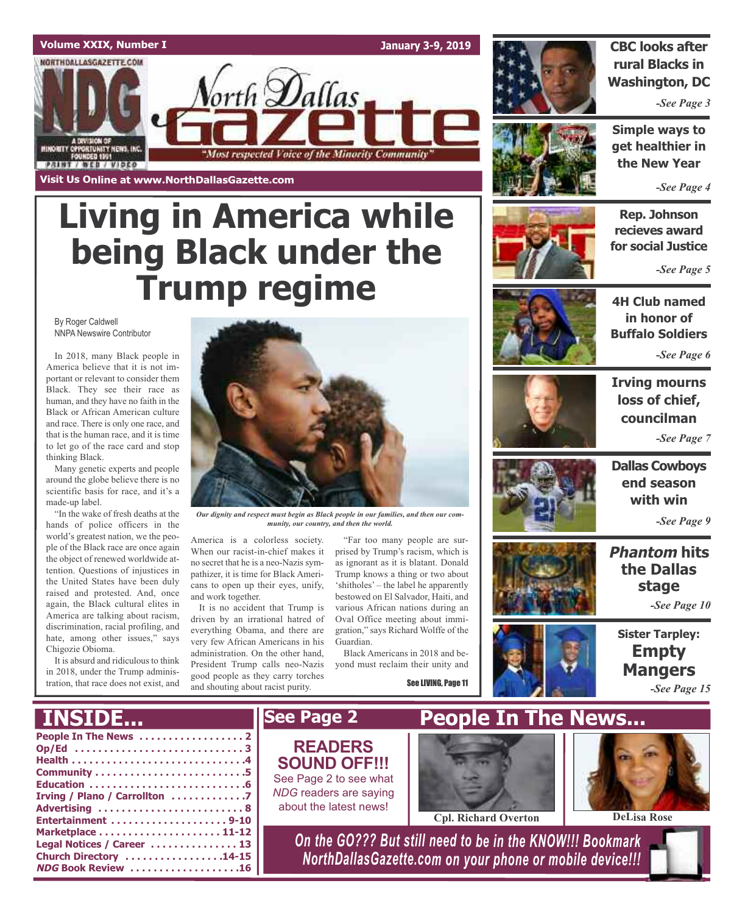### **Volume XXIX, Number I January 3-9, 2019** NORTHDALLASGAZETTE.COM *orth Dallas* **MINORITY CPPORTUNITY NEWS, INC.**<br>FOUNDED 1991 "Most respected Voice of the Minority Community" **PRINT / WEB / VIDEO Visit Us Online at www.NorthDallasGazette.com**

# **Living in America while being Black under the Trump regime**

By Roger Caldwell NNPA Newswire Contributor

In 2018, many Black people in America believe that it is not important or relevant to consider them Black. They see their race as human, and they have no faith in the Black or African American culture and race. There is only one race, and that is the human race, and it is time to let go of the race card and stop thinking Black.

Many genetic experts and people around the globe believe there is no scientific basis for race, and it's a made-up label.

"In the wake of fresh deaths at the hands of police officers in the world's greatest nation, we the people of the Black race are once again the object of renewed worldwide attention. Questions of injustices in the United States have been duly raised and protested. And, once again, the Black cultural elites in America are talking about racism, discrimination, racial profiling, and hate, among other issues," says Chigozie Obioma.

It is absurd and ridiculous to think in 2018, under the Trump administration, that race does not exist, and



*Our dignity and respect must begin as Black people in our families, and then our community, our country, and then the world.*

America is a colorless society. When our racist-in-chief makes it no secret that he is a neo-Nazis sympathizer, it is time for Black Americans to open up their eyes, unify, and work together.

It is no accident that Trump is driven by an irrational hatred of everything Obama, and there are very few African Americans in his administration. On the other hand, President Trump calls neo-Nazis good people as they carry torches and shouting about racist purity.

"Far too many people are surprised by Trump's racism, which is as ignorant as it is blatant. Donald Trump knows a thing or two about 'shitholes' – the label he apparently bestowed on El Salvador, Haiti, and various African nations during an Oval Office meeting about immigration," says Richard Wolffe of the Guardian.

Black Americans in 2018 and beyond must reclaim their unity and

See LIVING, Page 11



### **CBC looks after rural Blacks in Washington, DC**

*-See Page 3*

**Simple ways to get healthier in the New Year**

*-See Page 4*

**Rep. Johnson recieves award for social Justice**

*-See Page 5*



**4H Club named in honor of Buffalo Soldiers**

*-See Page 6*



**Irving mourns loss of chief, councilman** *-See Page 7*



**Dallas Cowboys end season with win**

*-See Page 9*

**Phantom hits the Dallas stage** *-See Page 10*

**Sister Tarpley: Empty Mangers** *-See Page 15*

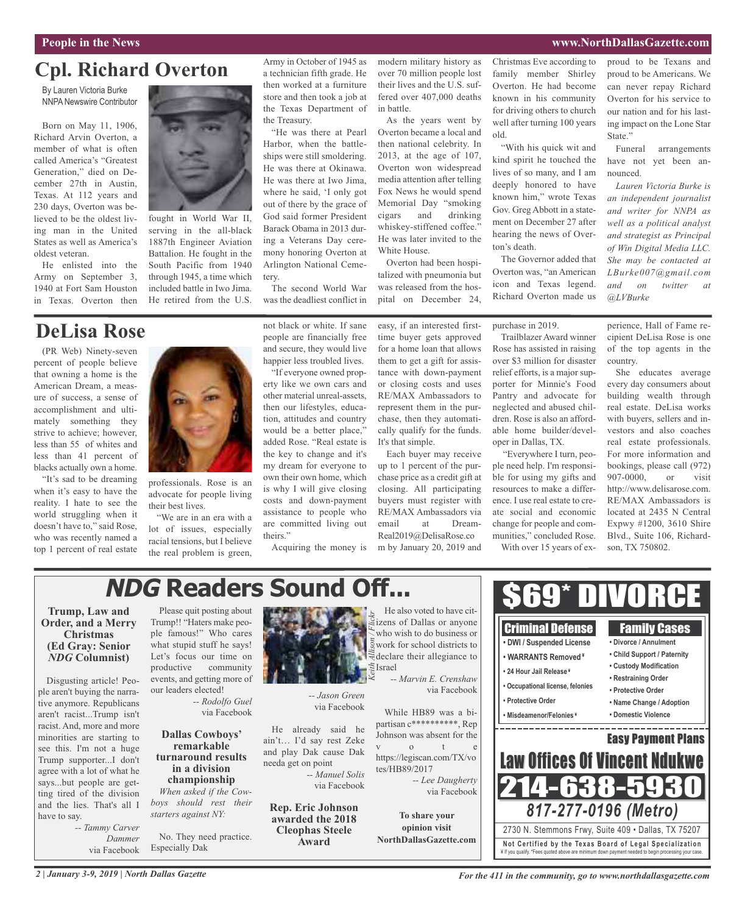### **People in the News www.NorthDallasGazette.com**

## **Cpl. Richard Overton**

By Lauren Victoria Burke NNPANewswire Contributor

Born on May 11, 1906, Richard Arvin Overton, a member of what is often called America's "Greatest Generation," died on December 27th in Austin, Texas. At 112 years and 230 days, Overton was believed to be the oldest living man in the United States as well as America's oldest veteran.

He enlisted into the Army on September 3, 1940 at Fort Sam Houston in Texas. Overton then

## **DeLisa Rose**

(PR Web) Ninety-seven percent of people believe that owning a home is the American Dream, a measure of success, a sense of accomplishment and ultimately something they strive to achieve; however, less than 55 of whites and less than 41 percent of blacks actually own a home.

"It's sad to be dreaming when it's easy to have the reality. I hate to see the world struggling when it doesn't have to," said Rose, who was recently named a top 1 percent of real estate



serving in the all-black 1887th Engineer Aviation Battalion. He fought in the South Pacific from 1940 through 1945, a time which included battle in Iwo Jima. He retired from the U.S.

professionals. Rose is an advocate for people living

"We are in an era with a lot of issues, especially racial tensions, but I believe the real problem is green,

their best lives.

Army in October of 1945 as a technician fifth grade. He then worked at a furniture store and then took a job at the Texas Department of the Treasury.

"He was there at Pearl Harbor, when the battleships were still smoldering. He was there at Okinawa. He was there at Iwo Jima, where he said, 'I only got out of there by the grace of God said former President Barack Obama in 2013 during a Veterans Day ceremony honoring Overton at Arlington National Cemetery.

The second World War was the deadliest conflict in

modern military history as over 70 million people lost their lives and the U.S. suffered over 407,000 deaths in battle.

As the years went by Overton became a local and then national celebrity. In 2013, at the age of 107, Overton won widespread media attention after telling Fox News he would spend Memorial Day "smoking cigars and drinking whiskey-stiffened coffee." He was later invited to the White House.

Overton had been hospitalized with pneumonia but was released from the hospital on December 24,

Christmas Eve according to family member Shirley Overton. He had become known in his community for driving others to church well after turning 100 years old.

"With his quick wit and kind spirit he touched the lives of so many, and I am deeply honored to have known him," wrote Texas Gov. Greg Abbott in a statement on December 27 after hearing the news of Overton's death.

The Governor added that Overton was, "an American icon and Texas legend. Richard Overton made us

purchase in 2019.

proud to be Texans and proud to be Americans. We can never repay Richard Overton for his service to our nation and for his lasting impact on the Lone Star State."

Funeral arrangements have not yet been announced.

*Lauren Victoria Burke is an independent journalist and writer for NNPA as well as a political analyst and strategist as Principal of Win Digital Media LLC. She may be contacted at LBurke007@gmail.com and on twitter at @LVBurke*

not black or white. If sane people are financially free and secure, they would live happier less troubled lives.

"If everyone owned property like we own cars and other material unreal-assets, then our lifestyles, education, attitudes and country would be a better place," added Rose. "Real estate is the key to change and it's my dream for everyone to own their own home, which is why I will give closing costs and down-payment assistance to people who are committed living out theirs."

Acquiring the money is

easy, if an interested firsttime buyer gets approved for a home loan that allows them to get a gift for assistance with down-payment or closing costs and uses RE/MAX Ambassadors to represent them in the purchase, then they automatically qualify for the funds. It's that simple.

Each buyer may receive up to 1 percent of the purchase price as a credit gift at closing. All participating buyers must register with RE/MAX Ambassadors via email at Dream-Real2019@DelisaRose.co m by January 20, 2019 and

Trailblazer Award winner Rose has assisted in raising over \$3 million for disaster relief efforts, is a major supporter for Minnie's Food Pantry and advocate for neglected and abused children. Rose is also an affordable home builder/developer in Dallas, TX.

"Everywhere I turn, people need help. I'm responsible for using my gifts and resources to make a difference. I use real estate to create social and economic change for people and communities," concluded Rose.

With over 15 years of ex-

perience, Hall of Fame recipient DeLisa Rose is one of the top agents in the country.

She educates average every day consumers about building wealth through real estate. DeLisa works with buyers, sellers and investors and also coaches real estate professionals. For more information and bookings, please call (972) 907-0000, or visit http://www.delisarose.com. RE/MAX Ambassadors is located at 2435 N Central Expwy #1200, 3610 Shire Blvd., Suite 106, Richardson, TX 750802.

#### **NDG Readers Sound Off...** \$69\* DIVORCE **Trump, Law and** Please quit posting about He also voted to have cit-*Keith Allison / Flickr*Trump!! "Haters make peo- $\frac{1}{2}$ izens of Dallas or anyone **Order, and a Merry** Criminal Defense Family Cases **Christmas** ple famous!" Who cares who wish to do business or  $\frac{8}{9}$  work for school districts to **• DWI / Suspended License • Divorce / Annulment (Ed Gray: Senior** what stupid stuff he says! **• Child Support / Paternity** Let's focus our time on declare their allegiance to **• WARRANTS Removed ¥** *NDG* **Columnist) • Custody Modification** productive community  $\tilde{\equiv}$ Israel **• 24 Hour Jail Release ¥ • Restraining Order** events, and getting more of *-- Marvin E. Crenshaw* Disgusting article! Peo-**• Occupational license, felonies • Protective Order** our leaders elected! via Facebook ple aren't buying the narra-*-- Jason Green -- Rodolfo Guel* **• Protective Order • Name Change / Adoption** tive anymore. Republicans via Facebook via Facebook While HB89 was a biaren't racist...Trump isn't **• Misdeamenor/Felonies ¥ • Domestic Violence** partisan c\*\*\*\*\*\*\*\*\*\*, Rep racist. And, more and more <u> and and an announced and an announced</u> He already said he **Dallas Cowboys' remarkable** Johnson was absent for the minorities are starting to Easy Payment Plans ain't… I'd say rest Zeke v o t e see this. I'm not a huge and play Dak cause Dak Law Offices Of Vincent Ndu **turnaround results** https://legiscan.com/TX/vo Trump supporter...I don't needa get on point **in a division** tes/HB89/2017 agree with a lot of what he *-- Manuel Solis* **championship** *-- Lee Daugherty* says...but people are get-4-63 via Facebook *When asked if the Cow*via Facebook ting tired of the division *boys should rest their* and the lies. That's all I *817-277-0196 (Metro)* **Rep. Eric Johnson** *starters against NY:* **To share your** have to say. **awarded the 2018** *-- Tammy Carver* **opinion visit** 2730 N. Stemmons Frwy, Suite 409 • Dallas, TX 75207 **Cleophas Steele** No. They need practice. *Dammer* **NorthDallasGazette.com Award Not Ce rtified by the Te x a s Boa rd of Lega l Spe c ia l i za tion** Especially Dak via Facebook ¥ If you qualify. \*Fees quoted above are minimum down payment needed to begin processing your case.

*For the 411 in the community, go to www.northdallasgazette.com*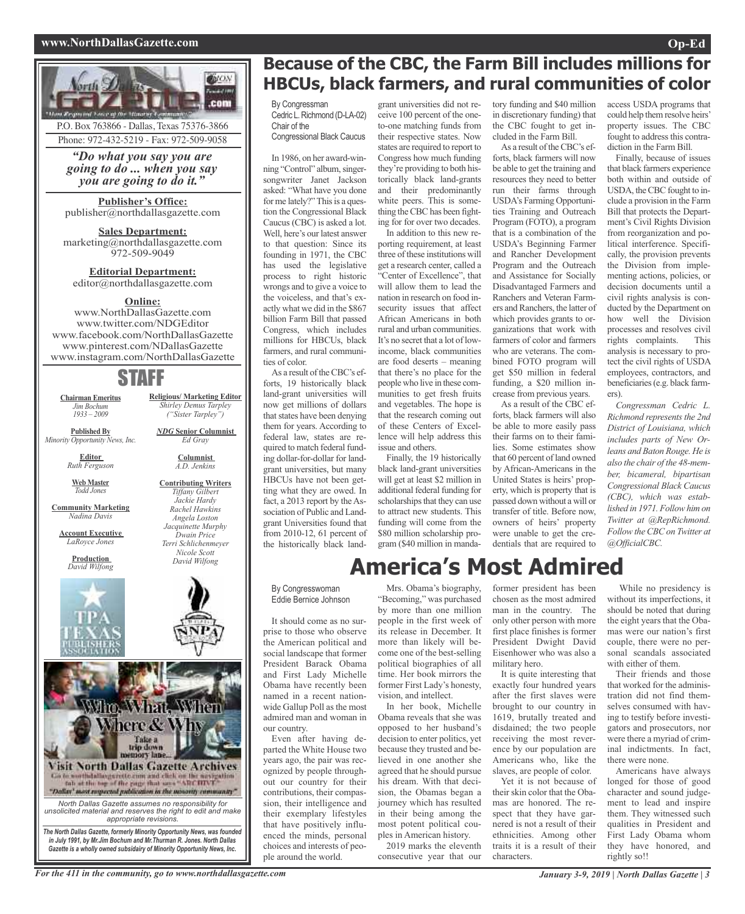### **www.NorthDallasGazette.com Op-Ed**





P.O. Box 763866 - Dallas, Texas 75376-3866 Phone: 972-432-5219 - Fax: 972-509-9058

*"Do what you say you are going to do ... when you say you are going to do it."*

**Publisher's Office:** publisher@northdallasgazette.com

**Sales Department:** marketing@northdallasgazette.com 972-509-9049

**Editorial Department:** editor@northdallasgazette.com

### **Online:**

www.NorthDallasGazette.com www.twitter.com/NDGEditor www.facebook.com/NorthDallasGazette www.pinterest.com/NDallasGazette www.instagram.com/NorthDallasGazette

## STAFF

**Chairman Emeritus** *Jim Bochum 1933 – 2009*

**Published By** *Minority Opportunity News, Inc.*

> **Editor** *Ruth Ferguson*

**Web Master** *Todd Jones*

**Community Marketing** *Nadina Davis*

**Account Executive** *LaRoyce Jones*

> **Production** *David Wilfong*



### *Jacquinette Murphy Dwain Price Terri Schlichenmeyer Nicole Scott David Wilfong*

**Religious/ Marketing Editor** *Shirley Demus Tarpley ("Sister Tarpley") NDG* **Senior Columnist** *Ed Gray* **Columnist** *A.D. Jenkins* **Contributing Writers** *Tiffany Gilbert Jackie Hardy Rachel Hawkins Angela Loston*



*The North Dallas Gazette, formerly Minority Opportunity News, was founded in July 1991, by Mr.Jim Bochum and Mr.Thurman R. Jones. North Dallas Gazette is a wholly owned subsidairy of Minority Opportunity News, Inc.*

## **Because of the CBC, the Farm Bill includes millions for HBCUs, black farmers, and rural communities of color**

By Congressman Cedric L. Richmond (D-LA-02) Chair of the Congressional Black Caucus

In 1986, on her award-winning "Control" album, singersongwriter Janet Jackson asked: "What have you done for me lately?" This is a question the Congressional Black Caucus (CBC) is asked a lot. Well, here's our latest answer to that question: Since its founding in 1971, the CBC has used the legislative process to right historic wrongs and to give a voice to the voiceless, and that's exactly what we did in the \$867 billion Farm Bill that passed Congress, which includes millions for HBCUs, black farmers, and rural communities of color.

As a result of the CBC's efforts, 19 historically black land-grant universities will now get millions of dollars that states have been denying them for years. According to federal law, states are required to match federal funding dollar-for-dollar for landgrant universities, but many HBCUs have not been getting what they are owed. In fact, a 2013 report by the Association of Public and Landgrant Universities found that from 2010-12, 61 percent of the historically black land-

grant universities did not receive 100 percent of the oneto-one matching funds from their respective states. Now states are required to report to Congress how much funding they're providing to both historically black land-grants and their predominantly white peers. This is something the CBC has been fighting for for over two decades.

In addition to this new reporting requirement, at least three of these institutions will get a research center, called a "Center of Excellence", that will allow them to lead the nation in research on food insecurity issues that affect African Americans in both rural and urban communities. It's no secret that a lot of lowincome, black communities are food deserts – meaning that there's no place for the people who live in these communities to get fresh fruits and vegetables. The hope is that the research coming out of these Centers of Excellence will help address this issue and others.

Finally, the 19 historically black land-grant universities will get at least \$2 million in additional federal funding for scholarships that they can use to attract new students. This funding will come from the \$80 million scholarship program (\$40 million in mandatory funding and \$40 million in discretionary funding) that the CBC fought to get included in the Farm Bill.

As a result of the CBC's efforts, black farmers will now be able to get the training and resources they need to better run their farms through USDA's Farming Opportunities Training and Outreach Program (FOTO), a program that is a combination of the USDA's Beginning Farmer and Rancher Development Program and the Outreach and Assistance for Socially Disadvantaged Farmers and Ranchers and Veteran Farmers and Ranchers, the latter of which provides grants to organizations that work with farmers of color and farmers who are veterans. The combined FOTO program will get \$50 million in federal funding, a \$20 million increase from previous years.

As a result of the CBC efforts, black farmers will also be able to more easily pass their farms on to their families. Some estimates show that 60 percent of land owned by African-Americans in the United States is heirs' property, which is property that is passed down without a will or transfer of title. Before now, owners of heirs' property were unable to get the credentials that are required to access USDA programs that could help them resolve heirs' property issues. The CBC fought to address this contradiction in the Farm Bill.

Finally, because of issues that black farmers experience both within and outside of USDA, the CBC fought to include a provision in the Farm Bill that protects the Department's Civil Rights Division from reorganization and political interference. Specifically, the provision prevents the Division from implementing actions, policies, or decision documents until a civil rights analysis is conducted by the Department on how well the Division processes and resolves civil rights complaints. This analysis is necessary to protect the civil rights of USDA employees, contractors, and beneficiaries(e.g. black farmers).

*Congressman Cedric L. Richmond representsthe 2nd District of Louisiana, which includes parts of New Orleans and Baton Rouge. He is also the chair of the 48-member, bicameral, bipartisan Congressional Black Caucus (CBC), which was established in 1971. Followhim on Twitter at @RepRichmond. FollowtheCBCon Twitter at @OfficialCBC.*

## **America's Most Admired**

By Congresswoman Eddie Bernice Johnson

It should come as no surprise to those who observe the American political and social landscape that former President Barack Obama and First Lady Michelle Obama have recently been named in a recent nationwide Gallup Poll as the most admired man and woman in our country.

Even after having departed the White House two years ago, the pair was recognized by people throughout our country for their contributions, their compassion, their intelligence and their exemplary lifestyles that have positively influenced the minds, personal choices and interests of people around the world.

Mrs. Obama's biography, "Becoming," was purchased by more than one million people in the first week of its release in December. It more than likely will become one of the best-selling political biographies of all time. Her book mirrors the former First Lady's honesty, vision, and intellect.

In her book, Michelle Obama reveals that she was opposed to her husband's decision to enter politics, yet because they trusted and believed in one another she agreed that he should pursue his dream. With that decision, the Obamas began a journey which has resulted in their being among the most potent political couples in American history.

2019 marks the eleventh consecutive year that our former president has been chosen as the most admired man in the country. The only other person with more first place finishes is former President Dwight David Eisenhower who was also a military hero.

It is quite interesting that exactly four hundred years after the first slaves were brought to our country in 1619, brutally treated and disdained; the two people receiving the most reverence by our population are Americans who, like the slaves, are people of color.

Yet it is not because of their skin color that the Obamas are honored. The respect that they have garnered is not a result of their ethnicities. Among other traits it is a result of their characters.

While no presidency is without its imperfections, it should be noted that during the eight years that the Obamas were our nation's first couple, there were no personal scandals associated with either of them.

Their friends and those that worked for the administration did not find themselves consumed with having to testify before investigators and prosecutors, nor were there a myriad of criminal indictments. In fact, there were none.

Americans have always longed for those of good character and sound judgement to lead and inspire them. They witnessed such qualities in President and First Lady Obama whom they have honored, and rightly so!!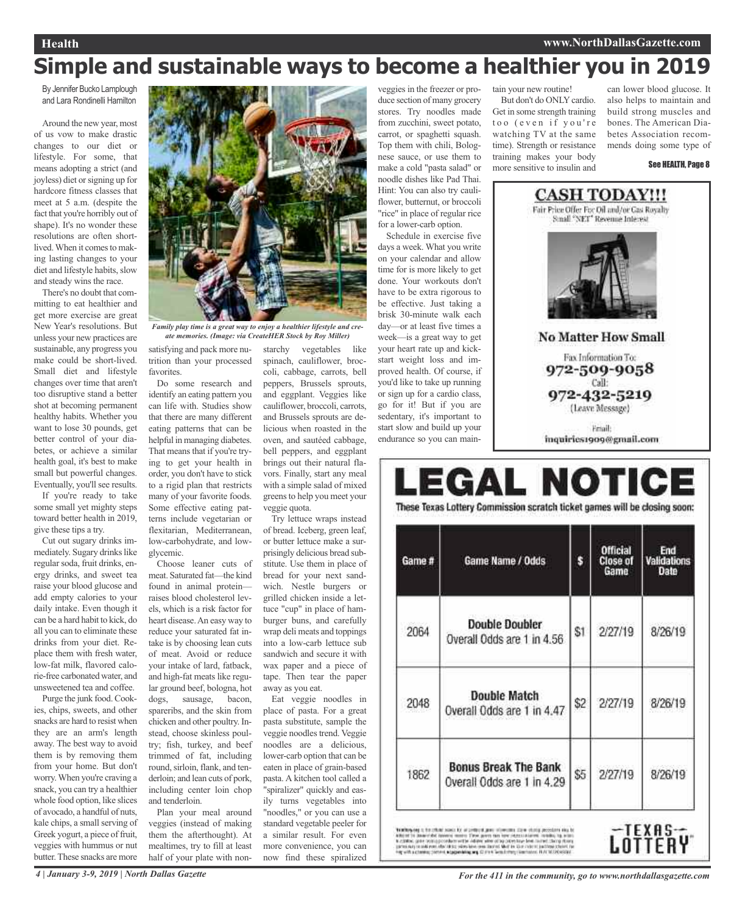## **Simple and sustainable ways to become a healthier you in 2019**

By Jennifer Bucko Lamplough and Lara Rondinelli Hamilton

Around the new year, most of us vow to make drastic changes to our diet or lifestyle. For some, that means adopting a strict (and joyless) diet orsigning up for hardcore fitness classes that meet at 5 a.m. (despite the fact that you're horribly out of shape). It's no wonder these resolutions are often shortlived. When it comes to making lasting changes to your diet and lifestyle habits, slow and steady wins the race.

There's no doubt that committing to eat healthier and get more exercise are great New Year's resolutions. But unless your new practices are sustainable, any progress you make could be short-lived. Small diet and lifestyle changes over time that aren't too disruptive stand a better shot at becoming permanent healthy habits. Whether you want to lose 30 pounds, get better control of your diabetes, or achieve a similar health goal, it's best to make small but powerful changes. Eventually, you'll see results.

If you're ready to take some small yet mighty steps toward better health in 2019, give these tips a try.

Cut out sugary drinks immediately. Sugary drinks like regular soda, fruit drinks, energy drinks, and sweet tea raise your blood glucose and add empty calories to your daily intake. Even though it can be a hard habit to kick, do all you can to eliminate these drinks from your diet. Replace them with fresh water, low-fat milk, flavored calorie-free carbonated water, and unsweetened tea and coffee.

Purge the junk food. Cookies, chips, sweets, and other snacks are hard to resist when they are an arm's length away. The best way to avoid them is by removing them from your home. But don't worry.When you're craving a snack, you can try a healthier whole food option, like slices of avocado, a handful of nuts, kale chips, a small serving of Greek yogurt, a piece of fruit, veggies with hummus or nut butter.These snacks are more



*Family play time is a great way to enjoy a healthier lifestyle and create memories. (Image: via CreateHER Stock by Roy Miller)*

satisfying and pack more nutrition than your processed favorites.

Do some research and identify an eating pattern you can life with. Studies show that there are many different eating patterns that can be helpful in managing diabetes. That means that if you're trying to get your health in order, you don't have to stick to a rigid plan that restricts many of your favorite foods. Some effective eating patterns include vegetarian or flexitarian, Mediterranean, low-carbohydrate, and lowglycemic.

Choose leaner cuts of meat. Saturated fat—the kind found in animal protein raises blood cholesterol levels, which is a risk factor for heart disease.An easy way to reduce your saturated fat intake is by choosing lean cuts of meat. Avoid or reduce your intake of lard, fatback, and high-fat meats like regular ground beef, bologna, hot dogs, sausage, bacon, spareribs, and the skin from chicken and other poultry. Instead, choose skinless poultry; fish, turkey, and beef trimmed of fat, including round, sirloin, flank, and tenderloin; and lean cuts of pork, including center loin chop and tenderloin.

Plan your meal around veggies (instead of making them the afterthought). At mealtimes, try to fill at least half of your plate with non-

starchy vegetables like spinach, cauliflower, broccoli, cabbage, carrots, bell peppers, Brussels sprouts, and eggplant. Veggies like cauliflower, broccoli, carrots, and Brussels sprouts are delicious when roasted in the oven, and sautéed cabbage, bell peppers, and eggplant brings out their natural flavors. Finally, start any meal with a simple salad of mixed greensto help you meet your veggie quota.

Try lettuce wraps instead of bread. Iceberg, green leaf, or butter lettuce make a surprisingly delicious bread substitute. Use them in place of bread for your next sandwich. Nestle burgers or grilled chicken inside a lettuce "cup" in place of hamburger buns, and carefully wrap deli meats and toppings into a low-carb lettuce sub sandwich and secure it with wax paper and a piece of tape. Then tear the paper away as you eat.

Eat veggie noodles in place of pasta. For a great pasta substitute, sample the veggie noodles trend. Veggie noodles are a delicious, lower-carb option that can be eaten in place of grain-based pasta. A kitchen tool called a "spiralizer" quickly and easily turns vegetables into "noodles," or you can use a standard vegetable peeler for a similar result. For even more convenience, you can now find these spiralized

veggies in the freezer or produce section of many grocery stores. Try noodles made from zucchini, sweet potato, carrot, or spaghetti squash. Top them with chili, Bolognese sauce, or use them to make a cold "pasta salad" or noodle dishes like Pad Thai. Hint: You can also try cauliflower, butternut, or broccoli "rice" in place of regular rice for a lower-carb option.

Schedule in exercise five days a week. What you write on your calendar and allow time for is more likely to get done. Your workouts don't have to be extra rigorous to be effective. Just taking a brisk 30-minute walk each day—or at least five times a week—is a great way to get your heart rate up and kickstart weight loss and improved health. Of course, if you'd like to take up running or sign up for a cardio class, go for it! But if you are sedentary, it's important to start slow and build up your endurance so you can maintain your new routine! But don't do ONLY cardio. Get in some strength training too (even if you're watching TV at the same time). Strength or resistance

training makes your body more sensitive to insulin and

can lower blood glucose. It also helps to maintain and build strong muscles and bones. The American Diabetes Association recommends doing some type of

#### See HEALTH, Page 8



inquiries1909@gmail.com

# **LEGAL NOTIC**

These Texas Lottery Commission scratch ticket games will be closing soon:

| Game # | Game Name / Odds                                          | s   | <b>Official</b><br><b>Close of</b><br>Game | End<br>Validations<br><b>Date</b> |
|--------|-----------------------------------------------------------|-----|--------------------------------------------|-----------------------------------|
| 2064   | <b>Double Doubler</b><br>Overall Odds are 1 in 4.56       | \$1 | 2/27/19                                    | 8/26/19                           |
| 2048   | <b>Double Match</b><br>Overall Odds are 1 in 4.47         | \$2 | 2/27/19                                    | 8/26/19                           |
| 1862   | <b>Bonus Break The Bank</b><br>Overall Odds are 1 in 4.29 | \$5 | 2/27/19                                    | 8/26/19                           |

4 January 3-9, 2019 | North Dallas Gazette State Services of Terms For the 411 in the community, go to www.northdallasgazette.com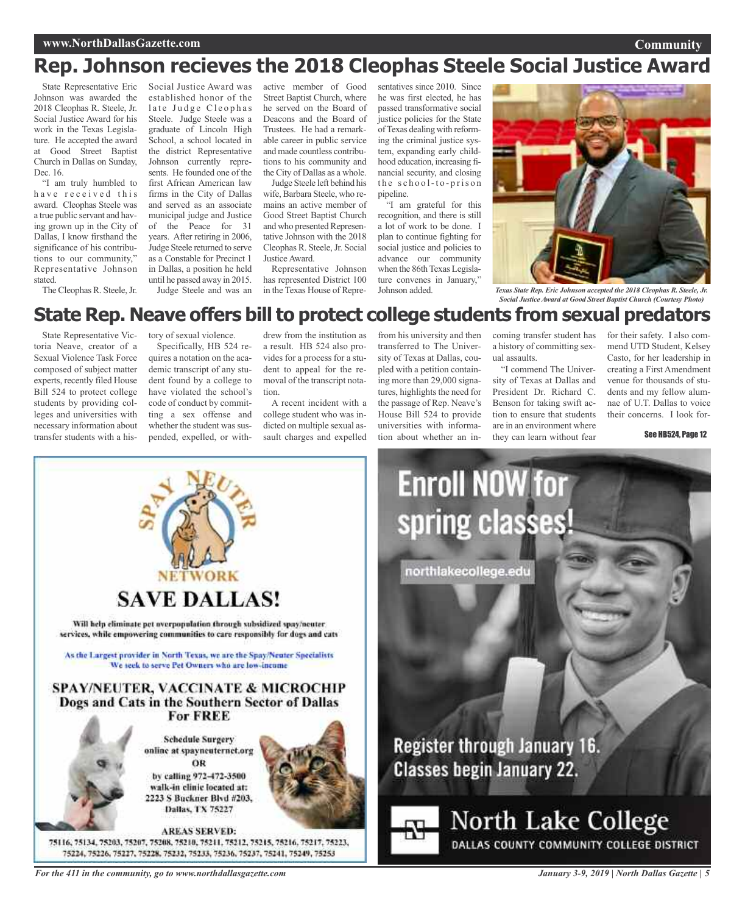### **www.NorthDallasGazette.com**

**Community**

## **Rep. Johnson recieves the 2018 Cleophas Steele Social Justice Award**

State Representative Eric Johnson was awarded the 2018 Cleophas R. Steele, Jr. Social Justice Award for his work in the Texas Legislature. He accepted the award at Good Street Baptist Church in Dallas on Sunday, Dec. 16.

"I am truly humbled to have received this award. Cleophas Steele was a true public servant and having grown up in the City of Dallas, I know firsthand the significance of his contributions to our community," Representative Johnson stated.

The Cleophas R. Steele,Jr.

Social Justice Award was established honor of the late Judge Cleophas Steele. Judge Steele was a graduate of Lincoln High School, a school located in the district Representative Johnson currently represents. He founded one of the first African American law firms in the City of Dallas and served as an associate municipal judge and Justice of the Peace for 31 years. After retiring in 2006, Judge Steele returned to serve as a Constable for Precinct 1 in Dallas, a position he held until he passed away in 2015. Judge Steele and was an active member of Good Street Baptist Church, where he served on the Board of Deacons and the Board of Trustees. He had a remarkable career in public service and made countless contributions to his community and the City of Dallas as a whole.

Judge Steele left behind his wife, Barbara Steele, who remains an active member of Good Street Baptist Church and who presented Representative Johnson with the 2018 Cleophas R. Steele,Jr. Social Justice Award.

Representative Johnson has represented District 100 in the Texas House of Repre-

sentatives since 2010. Since he was first elected, he has passed transformative social justice policies for the State ofTexas dealing with reforming the criminal justice system, expanding early childhood education, increasing financial security, and closing the  $school-to-prison$ pipeline.

"I am grateful for this recognition, and there is still a lot of work to be done. I plan to continue fighting for social justice and policies to advance our community when the 86th Texas Legislature convenes in January," Johnson added.



*Texas State Rep. Eric Johnson accepted the 2018 Cleophas R. Steele, Jr. Social Justice Award at Good Street Baptist Church (Courtesy Photo)*

## **State Rep. Neave offers bill to protect college students from sexual predators**

State Representative Victoria Neave, creator of a Sexual Violence Task Force composed of subject matter experts, recently filed House Bill 524 to protect college students by providing colleges and universities with necessary information about transfer students with a history of sexual violence.

Specifically, HB 524 requires a notation on the academic transcript of any student found by a college to have violated the school's code of conduct by committing a sex offense and whether the student was suspended, expelled, or withdrew from the institution as a result. HB 524 also provides for a process for a student to appeal for the removal of the transcript notation.

A recent incident with a college student who was indicted on multiple sexual assault charges and expelled

from his university and then transferred to The University of Texas at Dallas, coupled with a petition containing more than 29,000 signatures, highlights the need for the passage of Rep. Neave's House Bill 524 to provide universities with information about whether an incoming transfer student has a history of committing sexual assaults.

"I commend The University of Texas at Dallas and President Dr. Richard C. Benson for taking swift action to ensure that students are in an environment where they can learn without fear

for their safety. I also commend UTD Student, Kelsey Casto, for her leadership in creating a First Amendment venue for thousands of students and my fellow alumnae of U.T. Dallas to voice their concerns. I look for-

**See HB524, Page 12** 



**Enroll NOW for** spring classes! northlakecollege.edu Register through January 16. **Classes begin January 22.** 



North Lake College DALLAS COUNTY COMMUNITY COLLEGE DISTRICT

*For the 411 in the community, go to www.northdallasgazette.com*

### *January 3-9, 2019 | North Dallas Gazette | 5*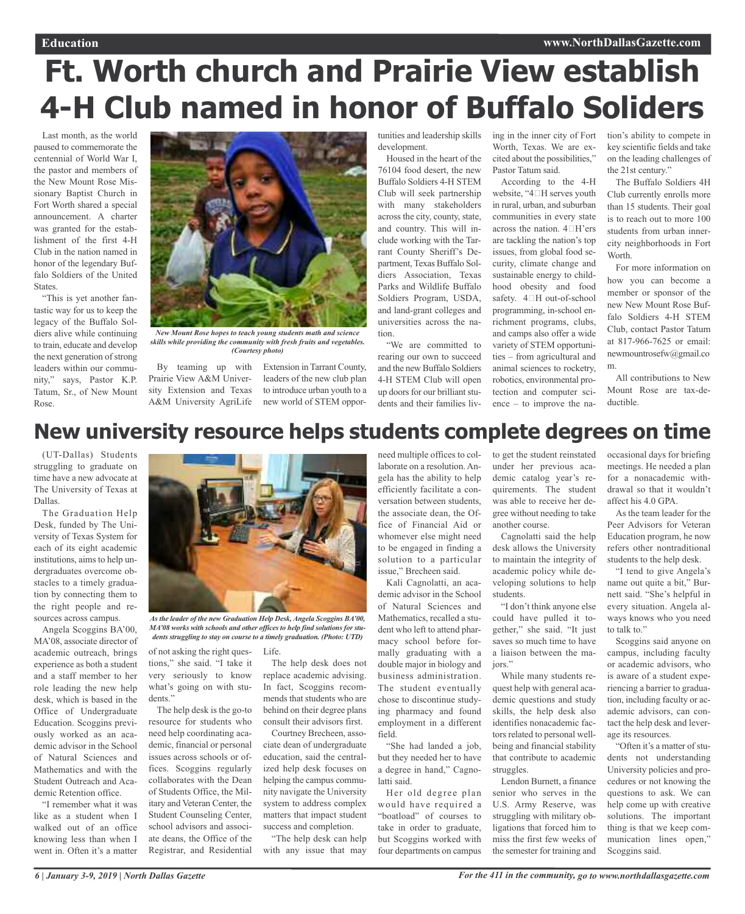### **Education www.NorthDallasGazette.com**

# **Ft. Worth church and Prairie View establish 4-H Club named in honor of Buffalo Soliders**

Last month, as the world paused to commemorate the centennial of World War I, the pastor and members of the New Mount Rose Missionary Baptist Church in Fort Worth shared a special announcement. A charter was granted for the establishment of the first 4-H Club in the nation named in honor of the legendary Buffalo Soldiers of the United States.

"This is yet another fantastic way for us to keep the legacy of the Buffalo Soldiers alive while continuing to train, educate and develop the next generation of strong leaders within our community," says, Pastor K.P. Tatum, Sr., of New Mount Rose.



*New Mount Rose hopes to teach young students math and science skills while providing the community with fresh fruits and vegetables. (Courtesy photo)*

By teaming up with Extension in Tarrant County, Prairie View A&M University Extension and Texas A&M University AgriLife

leaders of the new club plan to introduce urban youth to a new world of STEM opportunities and leadership skills development.

Housed in the heart of the 76104 food desert, the new Buffalo Soldiers 4-H STEM Club will seek partnership with many stakeholders across the city, county, state, and country. This will include working with the Tarrant County Sheriff's Department, Texas Buffalo Soldiers Association, Texas Parks and Wildlife Buffalo Soldiers Program, USDA, and land-grant colleges and universities across the nation.

"We are committed to rearing our own to succeed and the new Buffalo Soldiers 4-H STEM Club will open up doors for our brilliant students and their families living in the inner city of Fort Worth, Texas. We are excited about the possibilities," Pastor Tatum said.

According to the 4-H website, " $4\Box H$  serves youth in rural, urban, and suburban communities in every state across the nation.  $4\Box$ H'ers are tackling the nation's top issues, from global food security, climate change and sustainable energy to childhood obesity and food safety.  $4\Box H$  out-of-school programming, in-school enrichment programs, clubs, and camps also offer a wide variety of STEM opportunities – from agricultural and animal sciences to rocketry, robotics, environmental protection and computer science – to improve the nation's ability to compete in key scientific fields and take on the leading challenges of the 21st century."

The Buffalo Soldiers 4H Club currently enrolls more than 15 students. Their goal is to reach out to more 100 students from urban innercity neighborhoods in Fort Worth.

For more information on how you can become a member or sponsor of the new New Mount Rose Buffalo Soldiers 4-H STEM Club, contact Pastor Tatum at 817-966-7625 or email: newmountrosefw@gmail.co m.

All contributions to New Mount Rose are tax-deductible.

## **New university resource helps students complete degrees on time**

(UT-Dallas) Students struggling to graduate on time have a new advocate at The University of Texas at Dallas.

The Graduation Help Desk, funded by The University of Texas System for each of its eight academic institutions, aims to help undergraduates overcome obstacles to a timely graduation by connecting them to the right people and resources across campus.

Angela Scoggins BA'00, MA'08, associate director of academic outreach, brings experience as both a student and a staff member to her role leading the new help desk, which is based in the Office of Undergraduate Education. Scoggins previously worked as an academic advisor in the School of Natural Sciences and Mathematics and with the Student Outreach and Academic Retention office.

"I remember what it was like as a student when I walked out of an office knowing less than when I went in. Often it's a matter



*As the leader of the new Graduation Help Desk, Angela Scoggins BA'00, MA'08 works with schools and other offices to help find solutions for students struggling to stay on course to a timely graduation. (Photo: UTD)*

Life.

of not asking the right questions," she said. "I take it very seriously to know what's going on with students."

The help desk is the go-to resource for students who need help coordinating academic, financial or personal issues across schools or offices. Scoggins regularly collaborates with the Dean of Students Office, the Military and Veteran Center, the Student Counseling Center, school advisors and associate deans, the Office of the Registrar, and Residential

The help desk does not replace academic advising. In fact, Scoggins recommends that students who are behind on their degree plans consult their advisors first.

Courtney Brecheen, associate dean of undergraduate education, said the centralized help desk focuses on helping the campus community navigate the University system to address complex matters that impact student success and completion.

"The help desk can help with any issue that may need multiple offices to collaborate on a resolution. Angela has the ability to help efficiently facilitate a conversation between students, the associate dean, the Office of Financial Aid or whomever else might need to be engaged in finding a solution to a particular issue," Brecheen said.

Kali Cagnolatti, an academic advisor in the School of Natural Sciences and Mathematics, recalled a student who left to attend pharmacy school before formally graduating with a double major in biology and business administration. The student eventually chose to discontinue studying pharmacy and found employment in a different field.

"She had landed a job, but they needed her to have a degree in hand," Cagnolatti said.

Her old degree plan would have required a "boatload" of courses to take in order to graduate, but Scoggins worked with four departments on campus

to get the student reinstated under her previous academic catalog year's requirements. The student was able to receive her degree without needing to take another course.

Cagnolatti said the help desk allows the University to maintain the integrity of academic policy while developing solutions to help students.

"I don't think anyone else could have pulled it together," she said. "It just saves so much time to have a liaison between the maiors."

While many students request help with general academic questions and study skills, the help desk also identifies nonacademic factors related to personal wellbeing and financial stability that contribute to academic struggles.

Lendon Burnett, a finance senior who serves in the U.S. Army Reserve, was struggling with military obligations that forced him to miss the first few weeks of the semester for training and

occasional days for briefing meetings. He needed a plan for a nonacademic withdrawal so that it wouldn't affect his 4.0 GPA.

As the team leader for the Peer Advisors for Veteran Education program, he now refers other nontraditional students to the help desk.

"I tend to give Angela's name out quite a bit," Burnett said. "She's helpful in every situation. Angela always knows who you need to talk to."

Scoggins said anyone on campus, including faculty or academic advisors, who is aware of a student experiencing a barrier to graduation, including faculty or academic advisors, can contact the help desk and leverage its resources.

"Often it's a matter of students not understanding University policies and procedures or not knowing the questions to ask. We can help come up with creative solutions. The important thing is that we keep communication lines open," Scoggins said.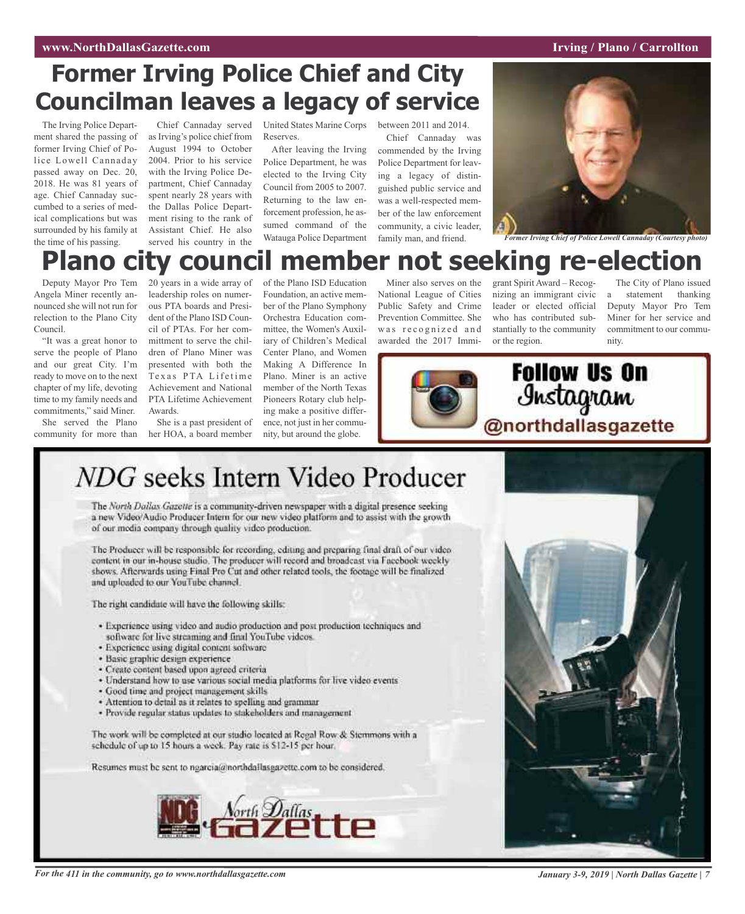## **Former Irving Police Chief and City Councilman leaves a legacy of service**

The Irving Police Department shared the passing of former Irving Chief of Police Lowell Cannaday passed away on Dec. 20, 2018. He was 81 years of age. Chief Cannaday succumbed to a series of medical complications but was surrounded by his family at the time of his passing.

Chief Cannaday served as Irving's police chief from August 1994 to October 2004. Prior to his service Police Department, he was with the Irving Police Department, Chief Cannaday spent nearly 28 years with the Dallas Police Department rising to the rank of Assistant Chief. He also served his country in the

United States Marine Corps between 2011 and 2014. Reserves.

After leaving the Irving elected to the Irving City Council from 2005 to 2007. Returning to the law enforcement profession, he assumed command of the Watauga Police Department

Chief Cannaday was commended by the Irving Police Department for leaving a legacy of distinguished public service and was a well-respected member of the law enforcement community, a civic leader, family man, and friend.



*Former Irving Chief of Police Lowell Cannaday (Courtesy photo)*

## **Plano city council member not seeking re-election**

Deputy Mayor Pro Tem Angela Miner recently announced she will not run for relection to the Plano City Council.

"It was a great honor to serve the people of Plano and our great City. I'm ready to move on to the next chapter of my life, devoting time to my family needs and commitments," said Miner.

She served the Plano community for more than her HOA, a board member

20 years in a wide array of leadership roles on numerous PTA boards and President of the Plano ISD Council of PTAs. For her committment to serve the children of Plano Miner was presented with both the Texas PTA Lifetime Achievement and National PTA Lifetime Achievement Awards.

She is a past president of

of the Plano ISD Education Foundation, an active member of the Plano Symphony Orchestra Education committee, the Women's Auxiliary of Children's Medical Center Plano, and Women Making A Difference In Plano. Miner is an active member of the North Texas Pioneers Rotary club helping make a positive difference, not just in her community, but around the globe.

Miner also serves on the National League of Cities Public Safety and Crime Prevention Committee. She was recognized and awarded the 2017 Immigrant Spirit Award – Recognizing an immigrant civic leader or elected official who has contributed substantially to the community or the region.

The City of Plano issued statement thanking Deputy Mayor Pro Tem Miner for her service and commitment to our community.

# **Follow Us On** *<u>Instagram</u>*<br>@northdallasgazette

## NDG seeks Intern Video Producer

The North Dallax Gazette is a community-driven newspaper with a digital presence seeking a new Video/Audio Producer Intern for our new video platform and to assist with the growth of our modia company through quality video production.

The Producer will be responsible for recording, editing and preparing final draft of our video. content in our in-house studio. The producer will record and broadcast via Facebook weekly shows. Afterwards using Final Pro Cut and other related tools, the footage will be finalized and uploaded to our YouTube channel.

The right candidate will have the following skills:

- · Experience using video and audio production and post production techniques and software for live streaming and final YouTube videos.
- · Experience using digital content software
- · Basic graphic design experience
- · Create content based upon agreed criteria
- · Understand how to use various social media platforms for live video events
- · Good time and project management skills
- Attention to detail as it relates to spelling and grammar
- · Provide regular status updates to stakeholders and management

The work will be completed at our studio located at Regal Row & Stemmons with a schedule of up to 15 hours a week. Pay rate is \$12-15 per hour.

Resumes must be sent to ngarcia@northdallasgazette.com to be considered,



For the 411 in the community, go to www.northdallasgazette.com January 3-9, 2019 | North Dallas Gazette | 7

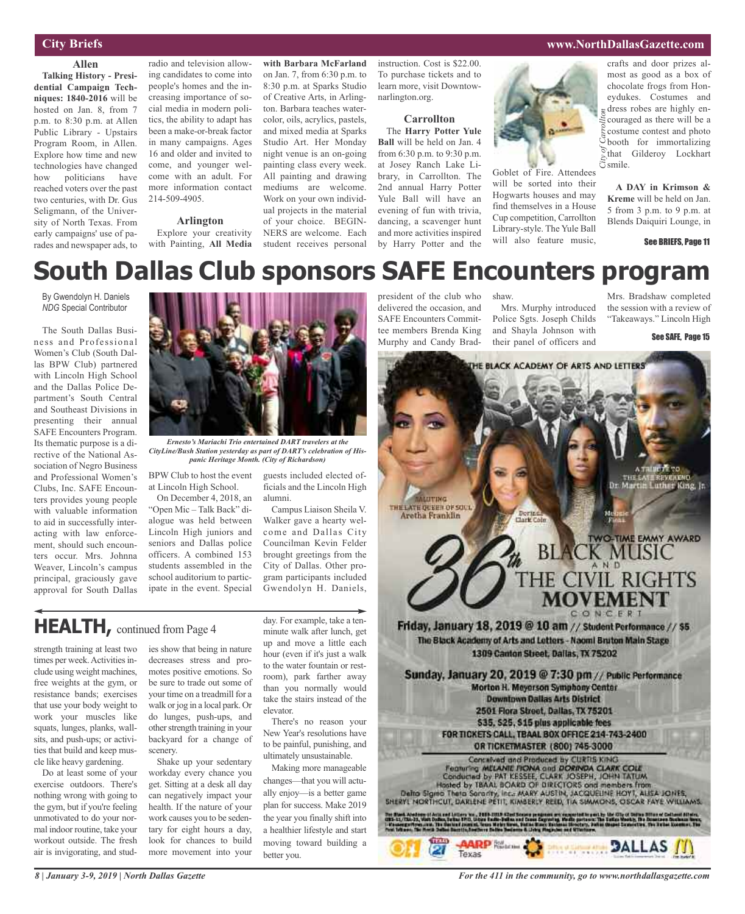### **City Briefs**

### **Allen Talking History - Presidential Campaign Techniques: 1840-2016** will be hosted on Jan. 8, from 7 p.m. to 8:30 p.m. at Allen Public Library - Upstairs Program Room, in Allen.

Explore how time and new technologies have changed how politicians have reached voters over the past two centuries, with Dr. Gus Seligmann, of the University of North Texas. From early campaigns' use of parades and newspaper ads, to

radio and television allowing candidates to come into people's homes and the increasing importance of social media in modern politics, the ability to adapt has been a make-or-break factor in many campaigns. Ages 16 and older and invited to come, and younger welcome with an adult. For more information contact 214-509-4905.

### **Arlington**

Explore your creativity with Painting, **All Media**

### **www.NorthDallasGazette.com**



Goblet of Fire. Attendees will be sorted into their Hogwarts houses and may find themselves in a House Cup competition, Carrollton Library-style. The Yule Ball will also feature music,

crafts and door prizes almost as good as a box of chocolate frogs from Honeydukes. Costumes and  $\approx$  dress robes are highly encouraged as there will be a costume contest and photo  $\mathcal{S}_{\text{boot}}$  for immortalizing **Coold Text International Property**<br> *C*<sub>S</sub>that Gilderoy Lockhart<br>
C smile.  $\mathbb{S}$ smile. *Carrollton*

**A DAY in Krimson & Kreme** will be held on Jan. 5 from 3 p.m. to 9 p.m. at Blends Daiquiri Lounge, in

See BRIEFS, Page 11

## **South Dallas Club sponsors SAFE Encounters program**

By Gwendolyn H. Daniels *NDG* Special Contributor

The South Dallas Business and Professional Women's Club (South Dallas BPW Club) partnered with Lincoln High School and the Dallas Police Department's South Central and Southeast Divisions in presenting their annual SAFE Encounters Program. Its thematic purpose is a directive of the National Association of Negro Business and Professional Women's Clubs, Inc. SAFE Encounters provides young people with valuable information to aid in successfully interacting with law enforcement, should such encounters occur. Mrs. Johnna Weaver, Lincoln's campus principal, graciously gave approval for South Dallas



*Ernesto's Mariachi Trio entertained DART travelers at the CityLine/Bush Station yesterday as part of DART's celebration of Hispanic Heritage Month. (City of Richardson)*

BPW Club to host the event at Lincoln High School.

On December 4, 2018, an "Open Mic – Talk Back" dialogue was held between Lincoln High juniors and seniors and Dallas police officers. A combined 153 students assembled in the school auditorium to participate in the event. Special guests included elected officials and the Lincoln High alumni.

**with Barbara McFarland** on Jan. 7, from 6:30 p.m. to 8:30 p.m. at Sparks Studio of Creative Arts, in Arlington. Barbara teaches watercolor, oils, acrylics, pastels, and mixed media at Sparks Studio Art. Her Monday night venue is an on-going painting class every week. All painting and drawing mediums are welcome. Work on your own individual projects in the material of your choice. BEGIN-NERS are welcome. Each student receives personal

Campus Liaison Sheila V. Walker gave a hearty welcome and Dallas City Councilman Kevin Felder brought greetings from the City of Dallas. Other program participants included Gwendolyn H. Daniels,

### **HEALTH,** continued from Page <sup>4</sup>

strength training at least two times per week. Activities include using weight machines, free weights at the gym, or resistance bands; exercises that use your body weight to work your muscles like squats, lunges, planks, wallsits, and push-ups; or activities that build and keep muscle like heavy gardening.

Do at least some of your exercise outdoors. There's nothing wrong with going to the gym, but if you're feeling unmotivated to do your normal indoor routine, take your workout outside. The fresh air is invigorating, and studies show that being in nature decreases stress and promotes positive emotions. So be sure to trade out some of your time on a treadmill for a walk orjog in a local park. Or do lunges, push-ups, and other strength training in your backyard for a change of scenery.

Shake up your sedentary workday every chance you get. Sitting at a desk all day can negatively impact your health. If the nature of your work causes you to be sedentary for eight hours a day, look for chances to build more movement into your

minute walk after lunch, get up and move a little each hour (even if it's just a walk to the water fountain or restroom), park farther away than you normally would take the stairs instead of the elevator.

day. For example, take a ten-

There's no reason your New Year's resolutions have to be painful, punishing, and ultimately unsustainable.

Making more manageable changes—that you will actually enjoy—is a better game plan for success. Make 2019 the year you finally shift into a healthier lifestyle and start moving toward building a better you.

president of the club who delivered the occasion, and SAFE Encounters Committee members Brenda King Murphy and Candy Brad-

instruction. Cost is \$22.00. To purchase tickets and to learn more, visit Downtow-

**Carrollton** The **Harry Potter Yule Ball** will be held on Jan. 4 from 6:30 p.m. to 9:30 p.m. at Josey Ranch Lake Library, in Carrollton. The 2nd annual Harry Potter Yule Ball will have an evening of fun with trivia, dancing, a scavenger hunt and more activities inspired by Harry Potter and the

narlington.org.

shaw. Mrs. Murphy introduced Police Sgts. Joseph Childs and Shayla Johnson with their panel of officers and

Mrs. Bradshaw completed the session with a review of "Takeaways." Lincoln High

See SAFE, Page 15



*For the 411 in the community, go to www.northdallasgazette.com*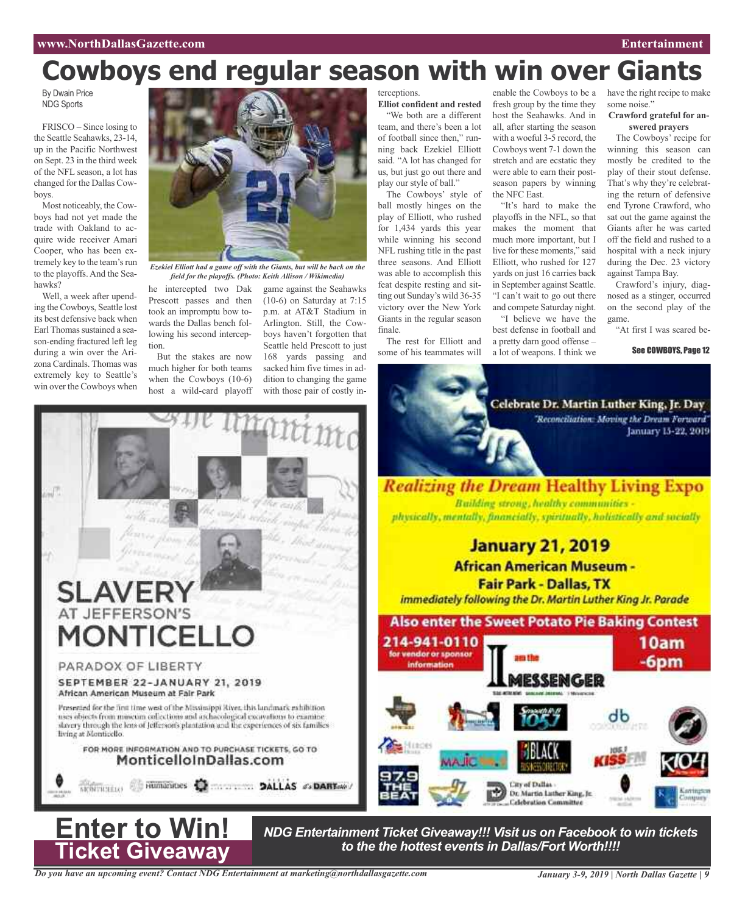## **Cowboys end regular season with win over Giants**

By Dwain Price NDG Sports

FRISCO – Since losing to the Seattle Seahawks, 23-14, up in the Pacific Northwest on Sept. 23 in the third week of the NFL season, a lot has changed for the Dallas Cowboys.

Most noticeably, the Cowboys had not yet made the trade with Oakland to acquire wide receiver Amari Cooper, who has been extremely key to the team's run to the playoffs. And the Seahawks?

Well, a week after upending the Cowboys, Seattle lost its best defensive back when Earl Thomas sustained a season-ending fractured left leg during a win over the Arizona Cardinals. Thomas was extremely key to Seattle's win over the Cowboys when

**SLAVI** 

living at Monticello.

AT JEFFERSON'S

PARADOX OF LIBERTY

African American Museum at Fair Park

**MONTICELLO** 

SEPTEMBER 22-JANUARY 21, 2019

Presented for the first time west of the Mississippi River, this landmark exhibition

uses objects from museum collections and archaeological excavations to examine slavery through the lens of Jefferson's plantation and the experiences of six families

FOR MORE INFORMATION AND TO PURCHASE TICKETS, GO TO MonticelloInDallas.com



*Ezekiel Elliott had a game off with the Giants, but will be back on the field for the playoffs. (Photo: Keith Allison / Wikimedia)*

angila ada

he intercepted two Dak Prescott passes and then took an impromptu bow towards the Dallas bench following his second interception.

But the stakes are now much higher for both teams when the Cowboys (10-6) host a wild-card playoff

game against the Seahawks (10-6) on Saturday at 7:15 p.m. at AT&T Stadium in Arlington. Still, the Cowboys haven't forgotten that Seattle held Prescott to just 168 yards passing and sacked him five times in addition to changing the game with those pair of costly interceptions.

**Elliot confident and rested** "We both are a different team, and there's been a lot of football since then," running back Ezekiel Elliott said. "A lot has changed for us, but just go out there and play our style of ball."

The Cowboys' style of ball mostly hinges on the play of Elliott, who rushed for 1,434 yards this year while winning his second NFL rushing title in the past three seasons. And Elliott was able to accomplish this feat despite resting and sitting out Sunday's wild 36-35 victory over the New York Giants in the regular season finale.

The rest for Elliott and some of his teammates will

enable the Cowboys to be a fresh group by the time they host the Seahawks. And in all, after starting the season with a woeful 3-5 record, the Cowboys went 7-1 down the stretch and are ecstatic they were able to earn their postseason papers by winning the NFC East.

"It's hard to make the playoffs in the NFL, so that makes the moment that much more important, but I live for these moments," said Elliott, who rushed for 127 yards on just 16 carries back in September against Seattle. "I can't wait to go out there and compete Saturday night.

"I believe we have the best defense in football and a pretty darn good offense – a lot of weapons. I think we have the right recipe to make some noise."

#### **Crawford grateful for answered prayers**

The Cowboys' recipe for winning this season can mostly be credited to the play of their stout defense. That's why they're celebrating the return of defensive end Tyrone Crawford, who sat out the game against the Giants after he was carted off the field and rushed to a hospital with a neck injury during the Dec. 23 victory against Tampa Bay.

Crawford's injury, diagnosed as a stinger, occurred on the second play of the game.

"At first I was scared be-

See COWBOYS, Page 12



### **Realizing the Dream Healthy Living Expo** Building strong, healthy communities -

physically, mentally, financially, spiritually, holistically and socially

### **January 21, 2019 African American Museum -Fair Park - Dallas, TX**

immediately following the Dr. Martin Luther King Jr. Parade

**Also enter the Sweet Potato Pie Baking Contest** 214-941-0110 10am for vendor or sponsor -6pm information



## **Enter to Win! Ticket Giveaway**

*NDG Entertainment Ticket Giveaway!!! Visit us on Facebook to win tickets to the the hottest events in Dallas/Fort Worth!!!!*

*Do you have an upcoming event? Contact NDG Entertainment at marketing@northdallasgazette.com*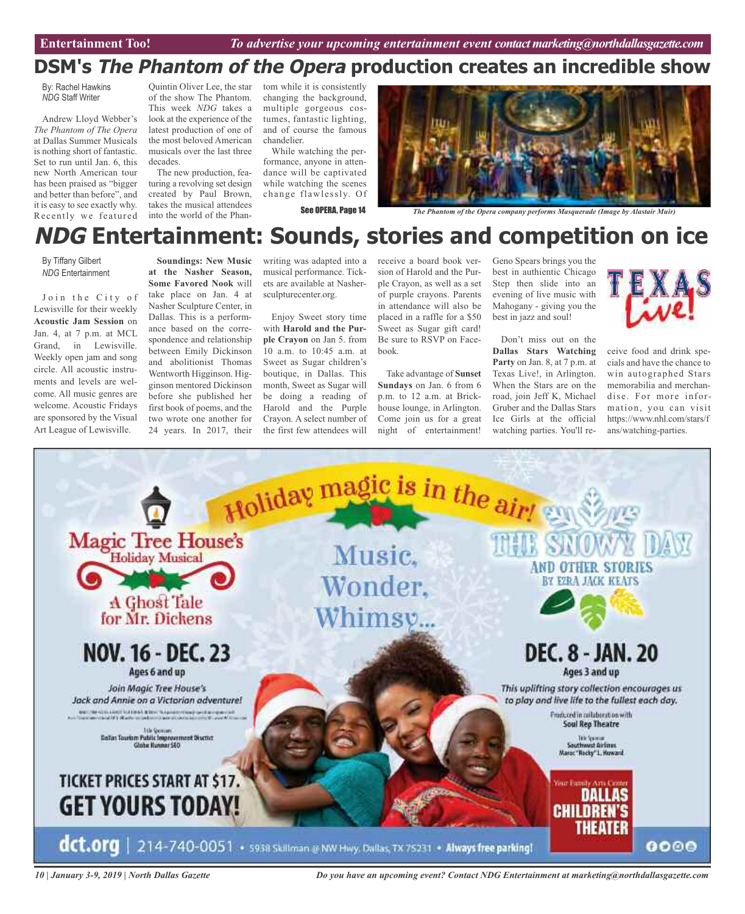## **DSM's The Phantom of the Opera production creates an incredible show**

By: Rachel Hawkins *NDG* Staff Writer

Andrew Lloyd Webber's *The Phantom of The Opera* at Dallas Summer Musicals is nothing short of fantastic. Set to run until Jan. 6, this new North American tour has been praised as "bigger and better than before", and it is easy to see exactly why. Recently we featured

Quintin Oliver Lee, the star of the show The Phantom. This week *NDG* takes a look at the experience of the latest production of one of the most beloved American musicals over the last three decades.

The new production, featuring a revolving set design created by Paul Brown, takes the musical attendees into the world of the Phan-

tom while it is consistently changing the background, multiple gorgeous costumes, fantastic lighting, and of course the famous chandelier.

While watching the performance, anyone in attendance will be captivated while watching the scenes change flawlessly. Of



See OPERA, Page 14 *The Phantom of the Opera company performs Masquerade (Image by Alastair Muir)*

## **NDG Entertainment: Sounds, stories and competition on ice**

By Tiffany Gilbert *NDG* Entertainment

Join the City of Lewisville for their weekly **Acoustic Jam Session** on Jan. 4, at 7 p.m. at MCL Grand, in Lewisville. Weekly open jam and song circle. All acoustic instruments and levels are welcome. All music genres are welcome. Acoustic Fridays are sponsored by the Visual Art League of Lewisville.

**Soundings: New Music at the Nasher Season, Some Favored Nook** will take place on Jan. 4 at Nasher Sculpture Center, in Dallas. This is a performance based on the correspondence and relationship between Emily Dickinson and abolitionist Thomas Wentworth Higginson. Higginson mentored Dickinson before she published her first book of poems, and the two wrote one another for 24 years. In 2017, their

writing was adapted into a receive a board book vermusical performance. Tickets are available at Nashersculpturecenter.org.

Enjoy Sweet story time with **Harold and the Purple Crayon** on Jan 5. from 10 a.m. to 10:45 a.m. at Sweet as Sugar children's boutique, in Dallas. This month, Sweet as Sugar will be doing a reading of Harold and the Purple Crayon. A select number of the first few attendees will

sion of Harold and the Purple Crayon, as well as a set of purple crayons. Parents in attendance will also be placed in a raffle for a \$50 Sweet as Sugar gift card! Be sure to RSVP on Facebook.

Take advantage of **Sunset Sundays** on Jan. 6 from 6 p.m. to 12 a.m. at Brickhouse lounge, in Arlington. Come join us for a great night of entertainment!

Geno Spears brings you the best in authientic Chicago Step then slide into an evening of live music with Mahogany - giving you the best in jazz and soul!

Don't miss out on the **Dallas Stars Watching** Party on Jan. 8, at 7 p.m. at Texas Live!, in Arlington. When the Stars are on the road, join Jeff K, Michael Gruber and the Dallas Stars Ice Girls at the official watching parties. You'll re-



ceive food and drink specials and have the chance to win autographed Stars memorabilia and merchandise. For more information, you can visit https://www.nhl.com/stars/f ans/watching-parties.



*10 | January 3-9, 2019 | North Dallas Gazette*

*Do you have an upcoming event? Contact NDG Entertainment at marketing@northdallasgazette.com*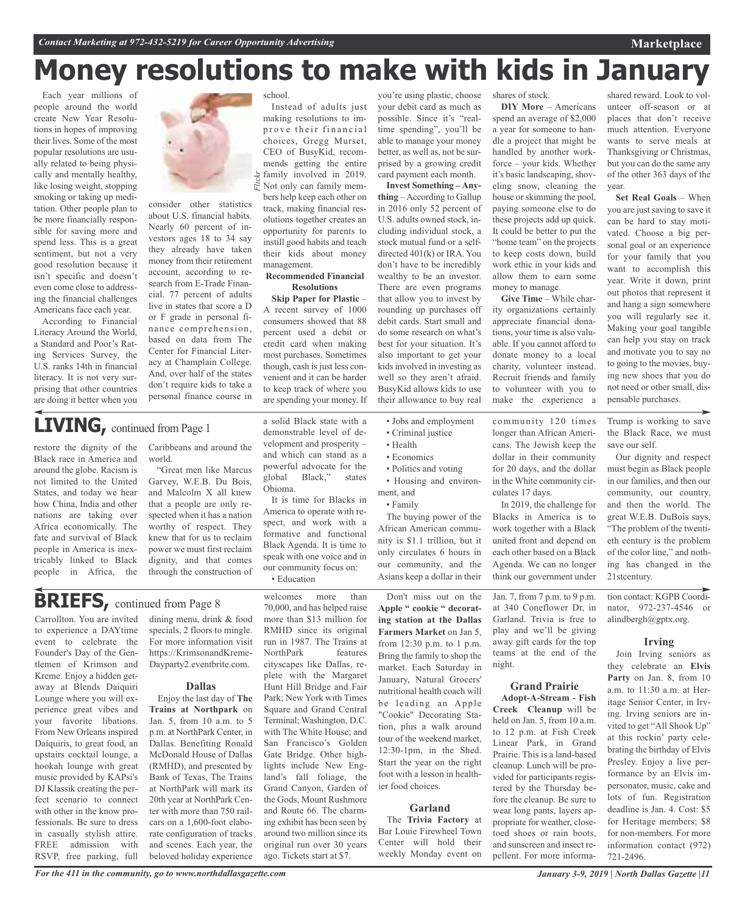## **Money resolutions to make with kids in January**

Each year millions of people around the world create New Year Resolutions in hopes of improving their lives. Some of the most popular resolutions are usually related to being physically and mentally healthy, like losing weight, stopping smoking or taking up meditation. Other people plan to be more financially responsible for saving more and spend less. This is a great sentiment, but not a very good resolution because it isn't specific and doesn't even come close to addressing the financial challenges Americans face each year.

According to Financial Literacy Around the World, a Standard and Poor's Rating Services Survey, the U.S. ranks 14th in financial literacy. It is not very surprising that other countries are doing it better when you



consider other statistics about U.S. financial habits. Nearly 60 percent of investors ages 18 to 34 say they already have taken money from their retirement account, according to research from E-Trade Financial. 77 percent of adults live in states that score a D or F grade in personal finance comprehension, based on data from The Center for Financial Literacy at Champlain College. And, over half of the states don't require kids to take a personal finance course in

school.

Instead of adults just making resolutions to improve their financial choices, Gregg Murset, CEO of BusyKid, recommends getting the entire  $\frac{1}{2}$  family involved in 2019. Not only can family members help keep each other on track, making financial resolutions together creates an opportunity for parents to instill good habits and teach their kids about money management.

### **Recommended Financial Resolutions**

**Skip Paper for Plastic** – A recent survey of 1000 consumers showed that 88 percent used a debit or credit card when making most purchases. Sometimes though, cash is just less convenient and it can be harder to keep track of where you are spending your money. If

a solid Black state with a

## **LIVING,** continued from Page <sup>1</sup>

restore the dignity of the Black race in America and around the globe. Racism is not limited to the United States, and today we hear how China, India and other nations are taking over Africa economically. The fate and survival of Black people in America is inextricably linked to Black people in Africa, the Caribbeans and around the world.

"Great men like Marcus Garvey, W.E.B. Du Bois, and Malcolm X all knew that a people are only respected when it has a nation worthy of respect. They knew that for us to reclaim power we must first reclaim dignity, and that comes through the construction of

## **BRIEFS**, continued from Page 8

Carrollton. You are invited to experience a DAYtime event to celebrate the Founder's Day of the Gentlemen of Krimson and Kreme. Enjoy a hidden getaway at Blends Daiquiri Lounge where you will experience great vibes and your favorite libations. From New Orleans inspired Daiquiris, to great food, an upstairs cocktail lounge, a hookah lounge with great music provided by KAPsi's DJ Klassik creating the perfect scenario to connect with other in the know professionals. Be sure to dress in casually stylish attire. FREE admission with RSVP, free parking, full dining menu, drink & food specials, 2 floors to mingle. For more information visit https://KrimsonandKreme-

### **Dallas**

Dayparty2.eventbrite.com.

Enjoy the last day of **The Trains at Northpark** on Jan. 5, from 10 a.m. to 5 p.m. at NorthPark Center, in Dallas. Benefiting Ronald McDonald House of Dallas (RMHD), and presented by Bank of Texas, The Trains at NorthPark will mark its 20th year at NorthPark Center with more than 750 railcars on a 1,600-foot elaborate configuration of tracks and scenes. Each year, the beloved holiday experience

demonstrable level of development and prosperity – and which can stand as a powerful advocate for the global Black," states Obioma. It is time for Blacks in America to operate with re-

spect, and work with a formative and functional Black Agenda. It is time to speak with one voice and in our community focus on: • Education

welcomes more than 70,000, and has helped raise more than \$13 million for RMHD since its original run in 1987. The Trains at NorthPark features cityscapes like Dallas, replete with the Margaret Hunt Hill Bridge and Fair Park; New York with Times Square and Grand Central Terminal; Washington, D.C. with The White House; and San Francisco's Golden Gate Bridge. Other highlights include New England's fall foliage, the Grand Canyon, Garden of the Gods, Mount Rushmore and Route 66. The charming exhibit has been seen by around two million since its original run over 30 years ago. Tickets start at \$7.

you're using plastic, choose your debit card as much as possible. Since it's "realtime spending", you'll be able to manage your money better, as well as, not be surprised by a growing credit card payment each month.

**Invest Something –Anything** –According to Gallup in 2016 only 52 percent of U.S. adults owned stock, including individual stock, a stock mutual fund or a selfdirected 401(k) or IRA. You don't have to be incredibly wealthy to be an investor. There are even programs that allow you to invest by rounding up purchases off debit cards. Start small and do some research on what's best for your situation. It's also important to get your kids involved in investing as well so they aren't afraid. BusyKid allows kids to use their allowance to buy real

• Jobs and employment • Criminal justice

- Health
- Economics
- Politics and voting
- Housing and environment, and

• Family

The buying power of the African American community is \$1.1 trillion, but it only circulates 6 hours in our community, and the Asians keep a dollar in their

Don't miss out on the **Apple " cookie " decorating station at the Dallas Farmers Market** on Jan 5, from 12:30 p.m. to 1 p.m. Bring the family to shop the market. Each Saturday in January, Natural Grocers' nutritional health coach will be leading an Apple "Cookie" Decorating Station, plus a walk around tour of the weekend market, 12:30-1pm, in the Shed. Start the year on the right foot with a lesson in healthier food choices.

### **Garland**

The **Trivia Factory** at Bar Louie Firewheel Town Center will hold their weekly Monday event on shares of stock.

**DIY More** – Americans spend an average of \$2,000 a year for someone to handle a project that might be handled by another workforce – your kids. Whether it's basic landscaping, shoveling snow, cleaning the house or skimming the pool, paying someone else to do these projects add up quick. It could be better to put the "home team" on the projects to keep costs down, build work ethic in your kids and allow them to earn some money to manage.

**Give Time** – While charity organizations certainly appreciate financial donations, your time is also valuable. If you cannot afford to donate money to a local charity, volunteer instead. Recruit friends and family to volunteer with you to make the experience a

community 120 times longer than African Americans. The Jewish keep the dollar in their community for 20 days, and the dollar in the White community circulates 17 days.

In 2019, the challenge for Blacks in America is to work together with a Black united front and depend on each other based on a Black Agenda. We can no longer think our government under

Jan. 7, from 7 p.m. to 9 p.m. at 340 Coneflower Dr, in Garland. Trivia is free to play and we'll be giving away gift cards for the top teams at the end of the night.

### **Grand Prairie**

**Adopt-A-Stream - Fish Creek Cleanup** will be held on Jan. 5, from 10 a.m. to 12 p.m. at Fish Creek Linear Park, in Grand Prairie. This is a land-based cleanup. Lunch will be provided for participants registered by the Thursday before the cleanup. Be sure to wear long pants, layers appropriate for weather, closetoed shoes or rain boots, and sunscreen and insect repellent. For more informa-

shared reward. Look to volunteer off-season or at places that don't receive much attention. Everyone wants to serve meals at Thanksgiving or Christmas, but you can do the same any of the other 363 days of the year.

**Marketplace**

**Set Real Goals** – When you are just saving to save it can be hard to stay motivated. Choose a big personal goal or an experience for your family that you want to accomplish this year. Write it down, print out photos that represent it and hang a sign somewhere you will regularly see it. Making your goal tangible can help you stay on track and motivate you to say no to going to the movies, buying new shoes that you do not need or other small, dispensable purchases.

Trump is working to save the Black Race, we must save our self.

Our dignity and respect must begin as Black people in our families, and then our community, our country, and then the world. The great W.E.B. DuBois says, "The problem of the twentieth century is the problem of the color line," and nothing has changed in the 21stcentury.

tion contact: KGPB Coordinator, 972-237-4546 or alindbergh@gptx.org.

### **Irving**

Join Irving seniors as they celebrate an **Elvis Party** on Jan. 8, from 10 a.m. to 11:30 a.m. at Heritage Senior Center, in Irving. Irving seniors are invited to get "All Shook Up" at this rockin' party celebrating the birthday of Elvis Presley. Enjoy a live performance by an Elvis impersonator, music, cake and lots of fun. Registration deadline is Jan. 4. Cost: \$5 for Heritage members; \$8 for non-members. For more information contact (972) 721-2496.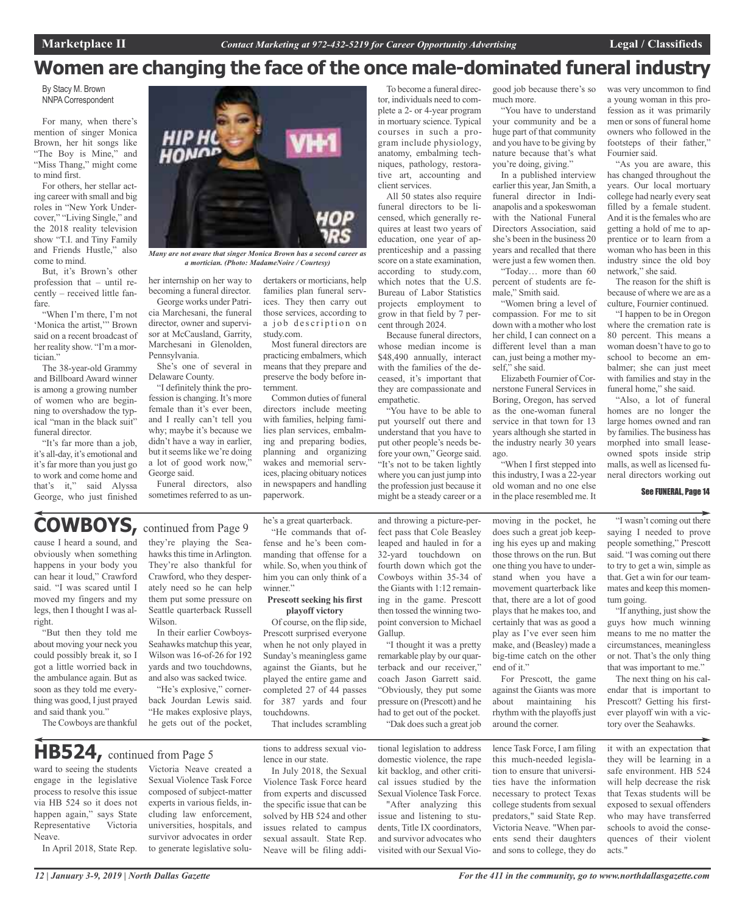## **Women are changing the face of the once male-dominated funeral industry**

By Stacy M. Brown NNPA Correspondent

For many, when there's mention of singer Monica Brown, her hit songs like "The Boy is Mine," and "Miss Thang," might come to mind first.

For others, her stellar acting career with small and big roles in "New York Undercover," "Living Single," and the 2018 reality television show "T.I. and Tiny Family and Friends Hustle," also come to mind.

But, it's Brown's other profession that – until recently – received little fanfare.

"When I'm there, I'm not 'Monica the artist,'" Brown said on a recent broadcast of her reality show. "I'm a mortician."

The 38-year-old Grammy and Billboard Award winner is among a growing number of women who are beginning to overshadow the typical "man in the black suit" funeral director.

"It's far more than a job, it's all-day, it's emotional and it's far more than you just go to work and come home and that's it," said Alyssa George, who just finished

cause I heard a sound, and obviously when something happens in your body you can hear it loud," Crawford said. "I was scared until I moved my fingers and my legs, then I thought I was al-

**COWBOYS,** continued from Page <sup>9</sup>

"But then they told me about moving your neck you could possibly break it, so I got a little worried back in the ambulance again. But as soon as they told me everything was good, I just prayed

The Cowboys are thankful

and said thank you."

right.



*Many are not aware that singer Monica Brown has a second career as a mortician. (Photo: MadameNoire / Courtesy)*

her internship on her way to becoming a funeral director.

George works under Patricia Marchesani, the funeral director, owner and supervisor at McCausland, Garrity, Marchesani in Glenolden, Pennsylvania.

She's one of several in Delaware County.

"I definitely think the profession is changing. It's more female than it's ever been, and I really can't tell you why; maybe it's because we didn't have a way in earlier, but it seems like we're doing a lot of good work now," George said.

Funeral directors, also sometimes referred to as un-

they're playing the Sea-

dertakers or morticians, help families plan funeral services. They then carry out those services, according to a job description on study.com.

Most funeral directors are practicing embalmers, which means that they prepare and preserve the body before internment.

Common duties of funeral directors include meeting with families, helping families plan services, embalming and preparing bodies, planning and organizing wakes and memorial services, placing obituary notices in newspapers and handling paperwork.

he's a great quarterback.

"He commands that offense and he's been commanding that offense for a while. So, when you think of him you can only think of a winner."

#### **Prescott seeking his first playoff victory**

Of course, on the flip side, Prescott surprised everyone when he not only played in Sunday's meaningless game against the Giants, but he played the entire game and completed 27 of 44 passes for 387 yards and four touchdowns.

That includes scrambling

ward to seeing the students Victoria Neave created a Sexual Violence Task Force **HB524,** continued from Page <sup>5</sup>

engage in the legislative process to resolve this issue via HB 524 so it does not happen again," says State Representative Victoria Neave.

In April 2018, State Rep.

hawks this time in Arlington. They're also thankful for Crawford, who they desperately need so he can help them put some pressure on Seattle quarterback Russell Wilson. In their earlier Cowboys-

Seahawks matchup this year, Wilson was 16-of-26 for 192 yards and two touchdowns, and also was sacked twice.

"He's explosive," cornerback Jourdan Lewis said. "He makes explosive plays, he gets out of the pocket,

composed of subject-matter experts in various fields, including law enforcement, universities, hospitals, and survivor advocates in order to generate legislative solutions to address sexual violence in our state.

In July 2018, the Sexual Violence Task Force heard from experts and discussed the specific issue that can be solved by HB 524 and other issues related to campus sexual assault. State Rep. Neave will be filing addi-

To become a funeral director, individuals need to complete a 2- or 4-year program in mortuary science. Typical courses in such a program include physiology, anatomy, embalming techniques, pathology, restorative art, accounting and client services.

All 50 states also require funeral directors to be licensed, which generally requires at least two years of education, one year of apprenticeship and a passing score on a state examination, according to study.com, which notes that the U.S. Bureau of Labor Statistics projects employment to grow in that field by 7 percent through 2024.

Because funeral directors, whose median income is \$48,490 annually, interact with the families of the deceased, it's important that they are compassionate and empathetic.

"You have to be able to put yourself out there and understand that you have to put other people's needs before your own," George said. "It's not to be taken lightly where you can just jump into the profession just because it might be a steady career or a

and throwing a picture-perfect pass that Cole Beasley leaped and hauled in for a 32-yard touchdown on fourth down which got the Cowboys within 35-34 of the Giants with 1:12 remaining in the game. Prescott then tossed the winning twopoint conversion to Michael Gallup.

"I thought it was a pretty remarkable play by our quarterback and our receiver," coach Jason Garrett said. "Obviously, they put some pressure on (Prescott) and he had to get out of the pocket. "Dak does such a great job

tional legislation to address domestic violence, the rape kit backlog, and other critical issues studied by the Sexual Violence Task Force. "After analyzing this

issue and listening to students, Title IX coordinators, and survivor advocates who visited with our Sexual Viogood job because there's so much more.

"You have to understand your community and be a huge part of that community and you have to be giving by nature because that's what you're doing, giving."

In a published interview earlier this year, Jan Smith, a funeral director in Indianapolis and a spokeswoman with the National Funeral Directors Association, said she's been in the business 20 years and recalled that there were just a few women then.

"Today… more than 60 percent of students are female," Smith said.

"Women bring a level of compassion. For me to sit down with a mother who lost her child, I can connect on a different level than a man can, just being a mother myself," she said.

Elizabeth Fournier of Cornerstone Funeral Services in Boring, Oregon, has served as the one-woman funeral service in that town for 13 years although she started in the industry nearly 30 years ago.

"When I first stepped into thisindustry, I was a 22-year old woman and no one else in the place resembled me. It

moving in the pocket, he does such a great job keeping his eyes up and making those throws on the run. But one thing you have to understand when you have a movement quarterback like that, there are a lot of good plays that he makes too, and certainly that was as good a play as I've ever seen him make, and (Beasley) made a big-time catch on the other end of it."

For Prescott, the game against the Giants was more about maintaining his rhythm with the playoffs just around the corner.

lence Task Force, I am filing this much-needed legislation to ensure that universities have the information necessary to protect Texas college students from sexual predators," said State Rep. Victoria Neave. "When parents send their daughters and sons to college, they do

was very uncommon to find a young woman in this profession as it was primarily men or sons of funeral home owners who followed in the footsteps of their father," Fournier said.

"As you are aware, this has changed throughout the years. Our local mortuary college had nearly every seat filled by a female student. And it is the females who are getting a hold of me to apprentice or to learn from a woman who has been in this industry since the old boy network," she said.

The reason for the shift is because of where we are as a culture, Fournier continued.

"I happen to be in Oregon where the cremation rate is 80 percent. This means a woman doesn't have to go to school to become an embalmer; she can just meet with families and stay in the funeral home," she said.

"Also, a lot of funeral homes are no longer the large homes owned and ran by families. The business has morphed into small leaseowned spots inside strip malls, as well as licensed funeral directors working out

See FUNERAL, Page 14

"I wasn't coming out there saying I needed to prove people something," Prescott said. "I was coming out there to try to get a win, simple as that. Get a win for our teammates and keep this momentum going.

"If anything, just show the guys how much winning means to me no matter the circumstances, meaningless or not. That's the only thing that was important to me."

The next thing on his calendar that is important to Prescott? Getting his firstever playoff win with a victory over the Seahawks.

it with an expectation that they will be learning in a safe environment. HB 524 will help decrease the risk that Texas students will be exposed to sexual offenders who may have transferred schools to avoid the consequences of their violent acts."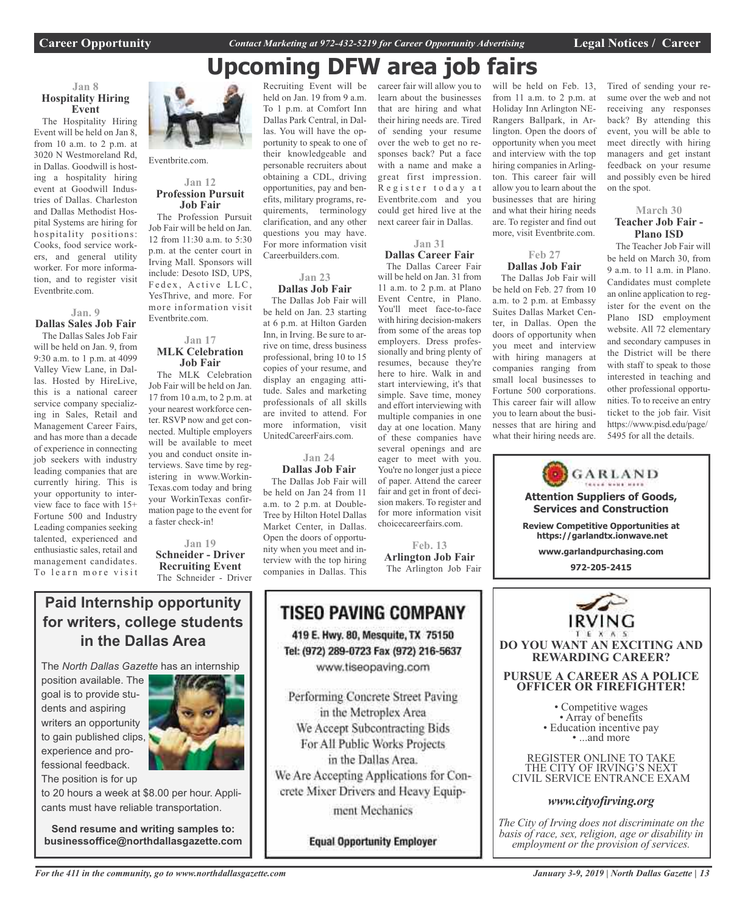will be held on Feb. 13, from 11 a.m. to 2 p.m. at Holiday Inn Arlington NE-Rangers Ballpark, in Arlington. Open the doors of opportunity when you meet and interview with the top hiring companies in Arlington. This career fair will allow you to learn about the businesses that are hiring and what their hiring needs are. To register and find out more, visit Eventbrite.com.

**Feb 27 Dallas Job Fair** The Dallas Job Fair will be held on Feb. 27 from 10 a.m. to 2 p.m. at Embassy Suites Dallas Market Center, in Dallas. Open the doors of opportunity when you meet and interview with hiring managers at companies ranging from small local businesses to Fortune 500 corporations. This career fair will allow you to learn about the businesses that are hiring and what their hiring needs are.

## **Upcoming DFW area job fairs**

### **Jan 8 Hospitality Hiring Event**

The Hospitality Hiring Event will be held on Jan 8, from 10 a.m. to 2 p.m. at 3020 N Westmoreland Rd, in Dallas. Goodwill is hosting a hospitality hiring event at Goodwill Industries of Dallas. Charleston and Dallas Methodist Hospital Systems are hiring for hospitality positions: Cooks, food service workers, and general utility worker. For more information, and to register visit Eventbrite.com.

### **Jan. 9**

**Dallas Sales Job Fair** The Dallas Sales Job Fair will be held on Jan. 9, from 9:30 a.m. to 1 p.m. at 4099 Valley View Lane, in Dallas. Hosted by HireLive, this is a national career service company specializing in Sales, Retail and Management Career Fairs, and has more than a decade of experience in connecting job seekers with industry leading companies that are currently hiring. This is your opportunity to interview face to face with 15+ Fortune 500 and Industry Leading companies seeking talented, experienced and enthusiastic sales, retail and management candidates. To learn more visit



#### Eventbrite.com.

#### **Jan 12 Profession Pursuit Job Fair**

The Profession Pursuit Job Fair will be held on Jan. 12 from 11:30 a.m. to 5:30 p.m. at the center court in Irving Mall. Sponsors will include: Desoto ISD, UPS, Fedex, Active LLC, YesThrive, and more. For more information visit Eventbrite.com.

#### **Jan 17 MLK Celebration Job Fair**

The MLK Celebration Job Fair will be held on Jan. 17 from 10 a.m, to 2 p.m. at your nearest workforce center. RSVP now and get connected. Multiple employers will be available to meet you and conduct onsite interviews. Save time by registering in www.Workin-Texas.com today and bring your WorkinTexas confirmation page to the event for a faster check-in!

**Jan 19 Schneider - Driver Recruiting Event** The Schneider - Driver

Recruiting Event will be held on Jan. 19 from 9 a.m. To 1 p.m. at Comfort Inn Dallas Park Central, in Dallas. You will have the opportunity to speak to one of their knowledgeable and personable recruiters about obtaining a CDL, driving opportunities, pay and benefits, military programs, requirements, terminology clarification, and any other questions you may have. For more information visit Careerbuilders.com.

### **Jan 23 Dallas Job Fair**

The Dallas Job Fair will be held on Jan. 23 starting at 6 p.m. at Hilton Garden Inn, in Irving. Be sure to arrive on time, dress business professional, bring 10 to 15 copies of your resume, and display an engaging attitude. Sales and marketing professionals of all skills are invited to attend. For more information, visit UnitedCareerFairs.com.

### **Jan 24**

**Dallas Job Fair** The Dallas Job Fair will be held on Jan 24 from 11 a.m. to 2 p.m. at Double-Tree by Hilton Hotel Dallas Market Center, in Dallas. Open the doors of opportunity when you meet and interview with the top hiring companies in Dallas. This

career fair will allow you to learn about the businesses that are hiring and what their hiring needs are. Tired of sending your resume over the web to get no responses back? Put a face with a name and make a great first impression. Register today at Eventbrite.com and you could get hired live at the next career fair in Dallas.

**Jan 31 Dallas Career Fair**

The Dallas Career Fair will be held on Jan. 31 from 11 a.m. to 2 p.m. at Plano Event Centre, in Plano. You'll meet face-to-face with hiring decision-makers from some of the areas top employers. Dress professionally and bring plenty of resumes, because they're here to hire. Walk in and start interviewing, it's that simple. Save time, money and effort interviewing with multiple companies in one day at one location. Many of these companies have several openings and are eager to meet with you. You're no longer just a piece of paper. Attend the career fair and get in front of decision makers. To register and for more information visit choicecareerfairs.com.

**Feb. 13 Arlington Job Fair** The Arlington Job Fair

419 E. Hwy. 80, Mesquite, TX 75150 Tel: (972) 289-0723 Fax (972) 216-5637 www.tiseopaving.com

Performing Concrete Street Paving in the Metroplex Area We Accept Subcontracting Bids For All Public Works Projects in the Dallas Area.

ment Mechanics

**Equal Opportunity Employer** 



**Attention Suppliers of Goods, Services and Construction Review Competitive Opportunities at https://garlandtx.ionwave.net www.garlandpurchasing.com**

GARLAND

*The City of Irving does not discriminate on the basis of race, sex, religion, age or disability in employment or the provision of services.*

**Paid Internship opportunity for writers, college students in the Dallas Area**

The *North Dallas Gazette* has an internship

position available. The goal is to provide students and aspiring writers an opportunity to gain published clips, experience and professional feedback.

The position is for up

to 20 hours a week at \$8.00 per hour. Applicants must have reliable transportation.

**Send resume and writing samples to: businessoffice@northdallasgazette.com** Tired of sending your resume over the web and not receiving any responses back? By attending this event, you will be able to meet directly with hiring managers and get instant feedback on your resume and possibly even be hired on the spot.

### **March 30 Teacher Job Fair - Plano ISD**

The Teacher Job Fair will be held on March 30, from 9 a.m. to 11 a.m. in Plano. Candidates must complete an online application to register for the event on the Plano ISD employment website. All 72 elementary and secondary campuses in the District will be there with staff to speak to those interested in teaching and other professional opportunities. To to receive an entry ticket to the job fair. Visit https://www.pisd.edu/page/ 5495 for all the details.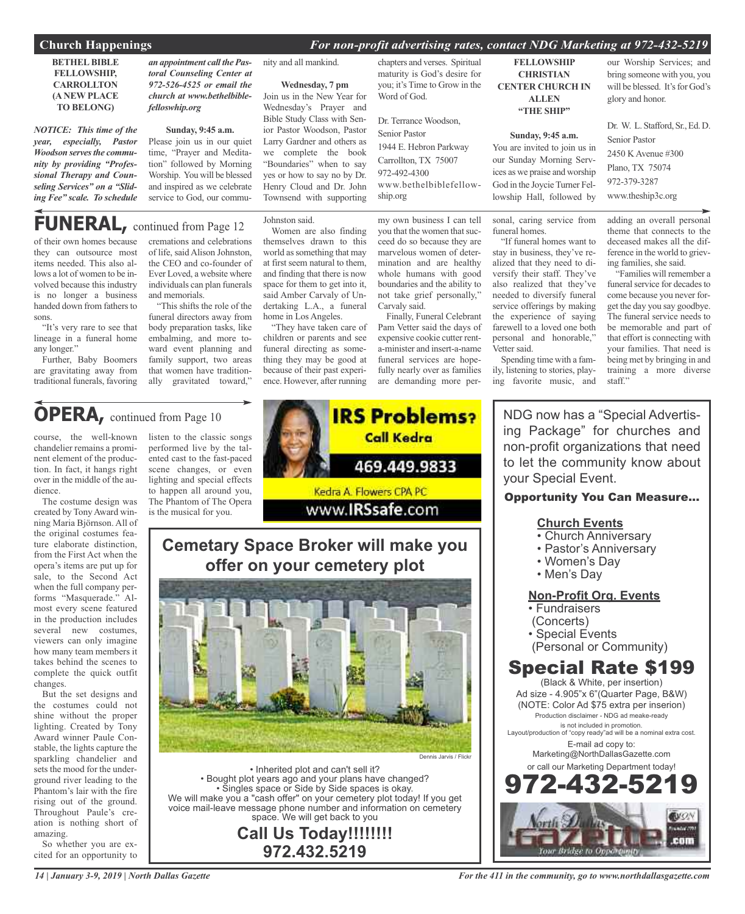### **Church Happenings** *For non-profit advertising rates, contact NDG Marketing at 972-432-5219*

**BETHEL BIBLE FELLOWSHIP, CARROLLTON (A NEW PLACE TO BELONG)**

*NOTICE: This time of the year, especially, Pastor Woodson serves the community by providing "Professional Therapy and Counseling Services" on a "Sliding Fee" scale. To schedule*

of their own homes because they can outsource most items needed. This also allows a lot of women to be involved because this industry is no longer a business handed down from fathers to

"It's very rare to see that lineage in a funeral home

Further, Baby Boomers are gravitating away from traditional funerals, favoring

sons.

any longer."

*an appointment call the Pastoral Counseling Center at 972-526-4525 or email the church at www.bethelbiblefelloswhip.org*

**Sunday, 9:45 a.m.** Please join us in our quiet time, "Prayer and Meditation" followed by Morning Worship. You will be blessed and inspired as we celebrate service to God, our commu-

cremations and celebrations of life, said Alison Johnston, the CEO and co-founder of Ever Loved, a website where individuals can plan funerals

"This shifts the role of the funeral directors away from body preparation tasks, like embalming, and more toward event planning and family support, two areas that women have traditionally gravitated toward,"

and memorials.

**FUNERAL,** continued from Page <sup>12</sup>

### Johnston said.

nity and all mankind.

**Wednesday, 7 pm** Join us in the New Year for Wednesday's Prayer and Bible Study Class with Senior Pastor Woodson, Pastor Larry Gardner and others as we complete the book "Boundaries" when to say yes or how to say no by Dr. Henry Cloud and Dr. John Townsend with supporting

Women are also finding themselves drawn to this world as something that may at first seem natural to them, and finding that there is now space for them to get into it, said Amber Carvaly of Undertaking L.A., a funeral home in Los Angeles.

"They have taken care of children or parents and see funeral directing as something they may be good at because of their past experience. However, after running chapters and verses. Spiritual maturity is God's desire for you; it's Time to Grow in the Word of God.

Dr. Terrance Woodson, Senior Pastor 1944 E. Hebron Parkway Carrollton, TX 75007 972-492-4300 www.bethelbiblefellowship.org

my own business I can tell you that the women that succeed do so because they are marvelous women of determination and are healthy whole humans with good boundaries and the ability to not take grief personally," Carvaly said.

Finally, Funeral Celebrant Pam Vetter said the days of expensive cookie cutter renta-minister and insert-a-name funeral services are hopefully nearly over as families are demanding more per-

**IRS Problems?** 

**FELLOWSHIP CHRISTIAN CENTER CHURCH IN ALLEN "THE SHIP"**

### **Sunday, 9:45 a.m.**

You are invited to join us in our Sunday Morning Services as we praise and worship God in the Joycie Turner Fellowship Hall, followed by

sonal, caring service from funeral homes. "If funeral homes want to

stay in business, they've realized that they need to diversify their staff. They've also realized that they've needed to diversify funeral service offerings by making the experience of saying farewell to a loved one both personal and honorable," Vetter said.

Spending time with a family, listening to stories, playing favorite music, and our Worship Services; and bring someone with you, you will be blessed. It's for God's glory and honor.

Dr. W. L. Stafford, Sr., Ed. D. Senior Pastor 2450 K Avenue #300 Plano, TX 75074 972-379-3287 www.theship3c.org

adding an overall personal theme that connects to the deceased makes all the difference in the world to grieving families, she said.

"Families will remember a funeral service for decades to come because you never forget the day you say goodbye. The funeral service needs to be memorable and part of that effort is connecting with your families. That need is being met by bringing in and training a more diverse staff."

NDG now has a "Special Advertising Package" for churches and non-profit organizations that need to let the community know about your Special Event.

### Opportunity You Can Measure...

### **Church Events**

- Church Anniversary
- Pastor's Anniversary
- Women's Day
- Men's Day

### **Non-Profit Org. Events**

- Fundraisers
- (Concerts)
- Special Events
- (Personal or Community)

### Special Rate \$199

(Black & White, per insertion) Ad size - 4.905"x 6"(Quarter Page, B&W) (NOTE: Color Ad \$75 extra per inserion) Production disclaimer - NDG ad meake-ready is not included in promotion. Layout/production of "copy ready"ad will be a nominal extra cost. E-mail ad copy to: Marketing@NorthDallasGazette.com or call our Marketing Department today! 972-432-5219



### course, the well-known **OPERA,** continued from Page <sup>10</sup>

chandelier remains a prominent element of the production. In fact, it hangs right over in the middle of the audience.

The costume design was created by Tony Award winning Maria Björnson. All of the original costumes feature elaborate distinction, from the First Act when the opera's items are put up for sale, to the Second Act when the full company performs "Masquerade." Almost every scene featured in the production includes several new costumes, viewers can only imagine how many team members it takes behind the scenes to complete the quick outfit changes.

But the set designs and the costumes could not shine without the proper lighting. Created by Tony Award winner Paule Constable, the lights capture the sparkling chandelier and sets the mood for the underground river leading to the Phantom's lair with the fire rising out of the ground. Throughout Paule's creation is nothing short of amazing.

So whether you are excited for an opportunity to

*14 | January 3-9, 2019 | North Dallas Gazette*

listen to the classic songs performed live by the talented cast to the fast-paced scene changes, or even lighting and special effects to happen all around you, The Phantom of The Opera is the musical for you.

**Call Kedra** 469.449.9833 Kedra A. Flowers CPA PC www.**IRSsafe**.com

### **Cemetary Space Broker will make you offer on your cemetery plot**



• Inherited plot and can't sell it? • Bought plot years ago and your plans have changed? • Singles space or Side by Side spaces is okay. We will make you a "cash offer" on your cemetery plot today! If you get voice mail-leave message phone number and information on cemetery space. We will get back to you

**Call Us Today!!!!!!!! 972.432.5219**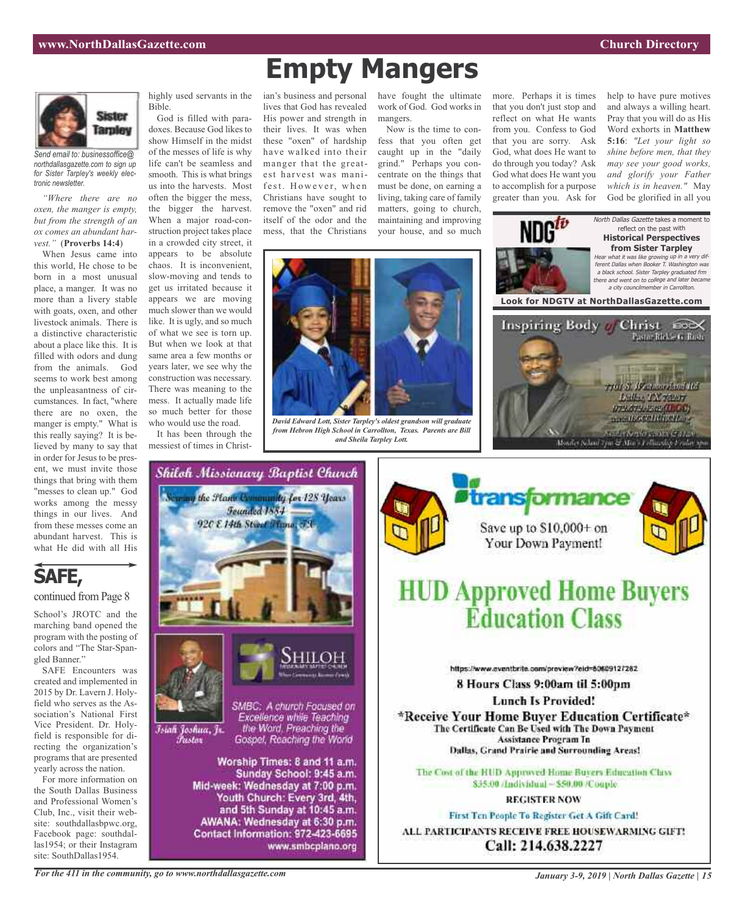

*Send email to: businessoffice@ northdallasgazette.com to sign up for Sister Tarpley's weekly electronic newsletter.*

*"Where there are no oxen, the manger is empty, but from the strength of an ox comes an abundant harvest."* (**Proverbs 14:4**)

When Jesus came into this world, He chose to be born in a most unusual place, a manger. It was no more than a livery stable with goats, oxen, and other livestock animals. There is a distinctive characteristic about a place like this. It is filled with odors and dung from the animals. God seems to work best among the unpleasantness of circumstances. In fact, "where there are no oxen, the manger is empty." What is this really saying? It is believed by many to say that in order for Jesus to be present, we must invite those things that bring with them "messes to clean up." God works among the messy things in our lives. And from these messes come an abundant harvest. This is what He did with all His



### continued from Page 8

School's JROTC and the marching band opened the program with the posting of colors and "The Star-Spangled Banner."

SAFE Encounters was created and implemented in 2015 by Dr. Lavern J. Holyfield who serves as the Association's National First Vice President. Dr. Holyfield is responsible for directing the organization's programs that are presented yearly across the nation.

For more information on the South Dallas Business and Professional Women's Club, Inc., visit their website: southdallasbpwc.org, Facebook page: southdallas1954; or their Instagram site: SouthDallas1954.

highly used servants in the Bible.

God is filled with paradoxes. Because God likes to show Himself in the midst of the messes of life is why life can't be seamless and smooth. This is what brings us into the harvests. Most often the bigger the mess, the bigger the harvest. When a major road-construction project takes place in a crowded city street, it appears to be absolute chaos. It is inconvenient, slow-moving and tends to get us irritated because it appears we are moving much slower than we would like. It is ugly, and so much of what we see is torn up. But when we look at that same area a few months or years later, we see why the construction was necessary. There was meaning to the mess. It actually made life so much better for those who would use the road.

It has been through the messiest of times in Christ-

ian's business and personal have fought the ultimate lives that God has revealed His power and strength in their lives. It was when these "oxen" of hardship have walked into their manger that the greatest harvest was manifest. However, when Christians have sought to remove the "oxen" and rid itself of the odor and the mess, that the Christians

work of God. God works in mangers. Now is the time to confess that you often get caught up in the "daily grind." Perhaps you concentrate on the things that must be done, on earning a living, taking care of family matters, going to church,

maintaining and improving

more. Perhaps it is times that you don't just stop and reflect on what He wants from you. Confess to God that you are sorry. Ask God, what does He want to do through you today? Ask God what does He want you to accomplish for a purpose greater than you. Ask for

 $\mathsf{D} \mathsf{G}^{t v}$ 

help to have pure motives and always a willing heart. Pray that you will do as His Word exhorts in **Matthew 5:16**: *"Let your light so shine before men, that they may see your good works, and glorify your Father which is in heaven."* May God be glorified in all you

North Dallas Gazette takes a moment to reflect on the past with **Historical Perspectives from Sister Tarpley** Hear what it was like growing up in <sup>a</sup> very dif-



*David Edward Lott, Sister Tarpley's oldest grandson will graduate from Hebron High School in Carrollton, Texas. Parents are Bill and Sheila Tarpley Lott.*

**Empty Mangers**







## **HUD Approved Home Buyers Éducation Class**

https://www.eventbrite.com/preview?eid=80609127262

8 Hours Class 9:00am til 5:00pm

**Lunch Is Provided!** 

\*Receive Your Home Buver Education Certificate\* The Certificate Can Be Used with The Down Payment Assistance Program In Dallas, Grand Prairie and Surrounding Areas!

The Cost of the HUD Approved Home Buyers Education Class \$35.00 /Individual ~ \$50.00 /Couple.

#### **REGISTER NOW**

First Ten People To Register Get A Gift Card! ALL PARTICIPANTS RECEIVE FREE HOUSEWARMING GIFT! Call: 214.638.2227

*For the 411 in the community, go to www.northdallasgazette.com*

*January 3-9, 2019 | North Dallas Gazette | 15*